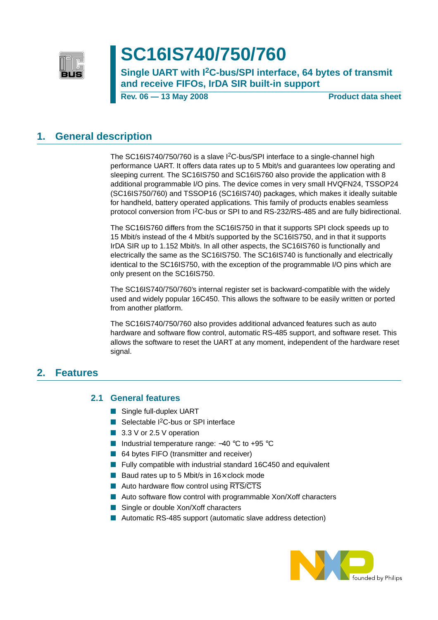

# **SC16IS740/750/760**

**Single UART with I2C-bus/SPI interface, 64 bytes of transmit and receive FIFOs, IrDA SIR built-in support**

**Rev. 06 – 13 May 2008** Product data sheet

### <span id="page-0-0"></span>**1. General description**

The SC16IS740/750/760 is a slave I<sup>2</sup>C-bus/SPI interface to a single-channel high performance UART. It offers data rates up to 5 Mbit/s and guarantees low operating and sleeping current. The SC16IS750 and SC16IS760 also provide the application with 8 additional programmable I/O pins. The device comes in very small HVQFN24, TSSOP24 (SC16IS750/760) and TSSOP16 (SC16IS740) packages, which makes it ideally suitable for handheld, battery operated applications. This family of products enables seamless protocol conversion from I2C-bus or SPI to and RS-232/RS-485 and are fully bidirectional.

The SC16IS760 differs from the SC16IS750 in that it supports SPI clock speeds up to 15 Mbit/s instead of the 4 Mbit/s supported by the SC16IS750, and in that it supports IrDA SIR up to 1.152 Mbit/s. In all other aspects, the SC16IS760 is functionally and electrically the same as the SC16IS750. The SC16IS740 is functionally and electrically identical to the SC16IS750, with the exception of the programmable I/O pins which are only present on the SC16IS750.

The SC16IS740/750/760's internal register set is backward-compatible with the widely used and widely popular 16C450. This allows the software to be easily written or ported from another platform.

The SC16IS740/750/760 also provides additional advanced features such as auto hardware and software flow control, automatic RS-485 support, and software reset. This allows the software to reset the UART at any moment, independent of the hardware reset signal.

### <span id="page-0-2"></span><span id="page-0-1"></span>**2. Features**

#### **2.1 General features**

- Single full-duplex UART
- Selectable I<sup>2</sup>C-bus or SPI interface
- 3.3 V or 2.5 V operation
- Industrial temperature range: -40 °C to +95 °C
- 64 bytes FIFO (transmitter and receiver)
- Fully compatible with industrial standard 16C450 and equivalent
- Baud rates up to 5 Mbit/s in 16× clock mode
- Auto hardware flow control using RTS/CTS
- Auto software flow control with programmable Xon/Xoff characters
- Single or double Xon/Xoff characters
- Automatic RS-485 support (automatic slave address detection)

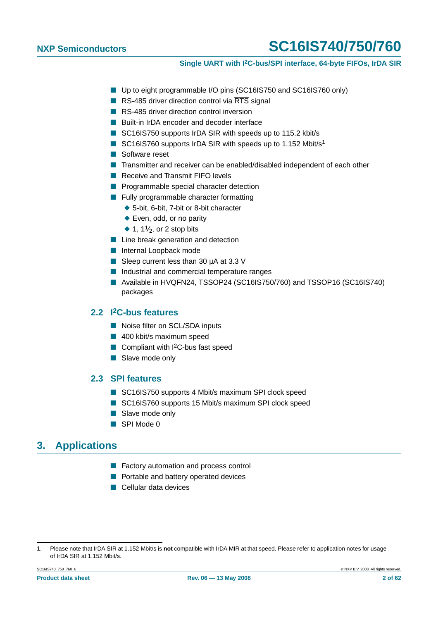- Up to eight programmable I/O pins (SC16IS750 and SC16IS760 only)
- RS-485 driver direction control via RTS signal
- RS-485 driver direction control inversion
- Built-in IrDA encoder and decoder interface
- SC16IS750 supports IrDA SIR with speeds up to 115.2 kbit/s
- SC16IS760 supports IrDA SIR with speeds up to 1.152 Mbit/s<sup>1</sup>
- Software reset
- Transmitter and receiver can be enabled/disabled independent of each other
- Receive and Transmit FIFO levels
- Programmable special character detection
- Fully programmable character formatting
	- ◆ 5-bit, 6-bit, 7-bit or 8-bit character
	- ◆ Even, odd, or no parity
	- $\blacklozenge$  1, 1<sup>1</sup>/<sub>2</sub>, or 2 stop bits
- Line break generation and detection
- Internal Loopback mode
- Sleep current less than 30  $\mu$ A at 3.3 V
- Industrial and commercial temperature ranges
- Available in HVQFN24, TSSOP24 (SC16IS750/760) and TSSOP16 (SC16IS740) packages

#### <span id="page-1-0"></span>**2.2 I2C-bus features**

- Noise filter on SCL/SDA inputs
- 400 kbit/s maximum speed
- Compliant with  $1^2C$ -bus fast speed
- Slave mode only

### <span id="page-1-1"></span>**2.3 SPI features**

- SC16IS750 supports 4 Mbit/s maximum SPI clock speed
- SC16IS760 supports 15 Mbit/s maximum SPI clock speed
- Slave mode only
- SPI Mode 0

### <span id="page-1-2"></span>**3. Applications**

- Factory automation and process control
- Portable and battery operated devices
- Cellular data devices

<sup>1.</sup> Please note that IrDA SIR at 1.152 Mbit/s is **not** compatible with IrDA MIR at that speed. Please refer to application notes for usage of IrDA SIR at 1.152 Mbit/s.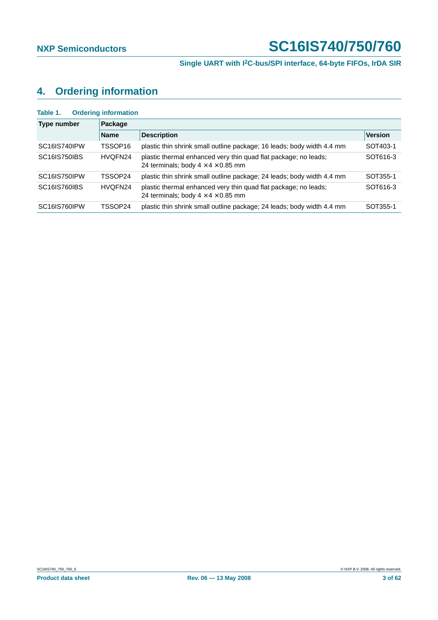# <span id="page-2-0"></span>**4. Ordering information**

| Table 1.            | <b>Ordering information</b> |                                                                                                                   |                |
|---------------------|-----------------------------|-------------------------------------------------------------------------------------------------------------------|----------------|
| Type number         | Package                     |                                                                                                                   |                |
|                     | <b>Name</b>                 | <b>Description</b>                                                                                                | <b>Version</b> |
| SC16IS740IPW        | TSSOP16                     | plastic thin shrink small outline package; 16 leads; body width 4.4 mm                                            | SOT403-1       |
| <b>SC16IS750IBS</b> | HVQFN24                     | plastic thermal enhanced very thin quad flat package; no leads;<br>24 terminals; body $4 \times 4 \times 0.85$ mm | SOT616-3       |
| SC16IS750IPW        | TSSOP24                     | plastic thin shrink small outline package; 24 leads; body width 4.4 mm                                            | SOT355-1       |
| SC16IS760IBS        | HVQFN24                     | plastic thermal enhanced very thin quad flat package; no leads;<br>24 terminals; body $4 \times 4 \times 0.85$ mm | SOT616-3       |
| SC16IS760IPW        | TSSOP24                     | plastic thin shrink small outline package; 24 leads; body width 4.4 mm                                            | SOT355-1       |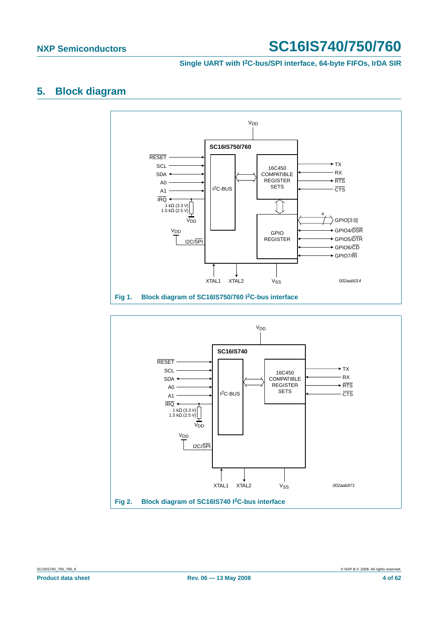**Single UART with I2C-bus/SPI interface, 64-byte FIFOs, IrDA SIR**

## <span id="page-3-0"></span>**5. Block diagram**



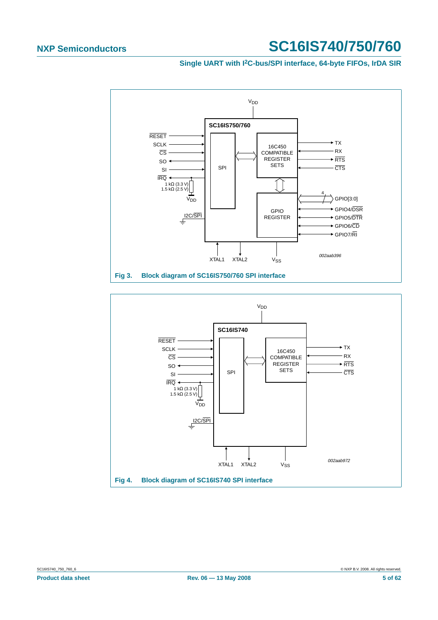#### **Single UART with I2C-bus/SPI interface, 64-byte FIFOs, IrDA SIR**



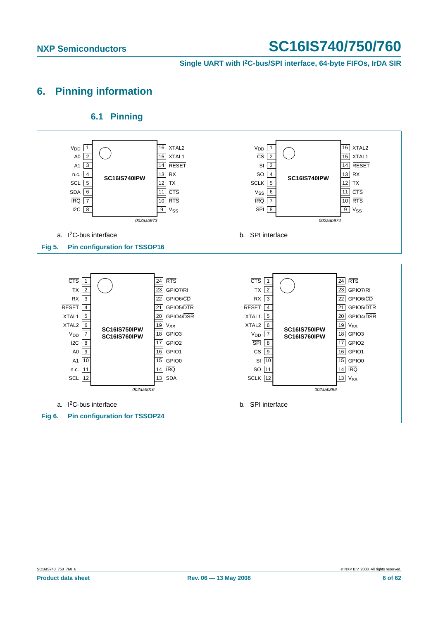**Single UART with I2C-bus/SPI interface, 64-byte FIFOs, IrDA SIR**

# <span id="page-5-0"></span>**6. Pinning information**

### **6.1 Pinning**

<span id="page-5-1"></span>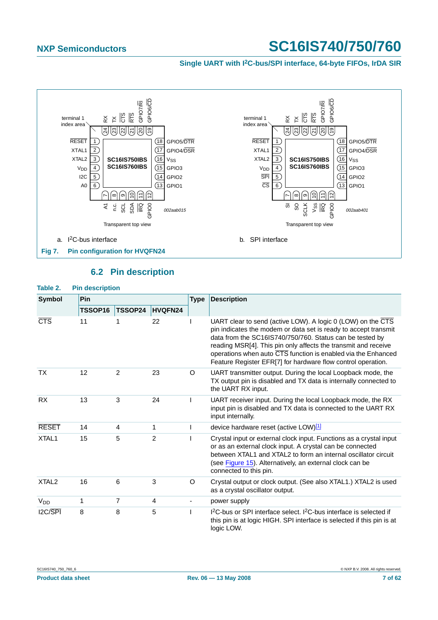**Single UART with I2C-bus/SPI interface, 64-byte FIFOs, IrDA SIR**



### **6.2 Pin description**

<span id="page-6-0"></span>

| Table 2.            | <b>Pin description</b> |                |                |             |                                                                                                                                                                                                                                                                                                                                                                                                                   |  |  |  |  |  |
|---------------------|------------------------|----------------|----------------|-------------|-------------------------------------------------------------------------------------------------------------------------------------------------------------------------------------------------------------------------------------------------------------------------------------------------------------------------------------------------------------------------------------------------------------------|--|--|--|--|--|
| <b>Symbol</b>       | Pin                    |                |                | <b>Type</b> | <b>Description</b>                                                                                                                                                                                                                                                                                                                                                                                                |  |  |  |  |  |
|                     | TSSOP16                | <b>TSSOP24</b> | HVQFN24        |             |                                                                                                                                                                                                                                                                                                                                                                                                                   |  |  |  |  |  |
| <b>CTS</b>          | 11                     |                | 22             |             | UART clear to send (active LOW). A logic 0 (LOW) on the $\overline{\text{CTS}}$<br>pin indicates the modem or data set is ready to accept transmit<br>data from the SC16IS740/750/760. Status can be tested by<br>reading MSR[4]. This pin only affects the transmit and receive<br>operations when auto CTS function is enabled via the Enhanced<br>Feature Register EFR[7] for hardware flow control operation. |  |  |  |  |  |
| ТX                  | 12                     | 2              | 23             | O           | UART transmitter output. During the local Loopback mode, the<br>TX output pin is disabled and TX data is internally connected to<br>the UART RX input.                                                                                                                                                                                                                                                            |  |  |  |  |  |
| <b>RX</b>           | 13                     | 3              | 24             |             | UART receiver input. During the local Loopback mode, the RX<br>input pin is disabled and TX data is connected to the UART RX<br>input internally.                                                                                                                                                                                                                                                                 |  |  |  |  |  |
| <b>RESET</b>        | 14                     | $\overline{4}$ | 1              |             | device hardware reset (active LOW)[1]                                                                                                                                                                                                                                                                                                                                                                             |  |  |  |  |  |
| XTAL <sub>1</sub>   | 15                     | 5              | $\overline{2}$ |             | Crystal input or external clock input. Functions as a crystal input<br>or as an external clock input. A crystal can be connected<br>between XTAL1 and XTAL2 to form an internal oscillator circuit<br>(see Figure 15). Alternatively, an external clock can be<br>connected to this pin.                                                                                                                          |  |  |  |  |  |
| XTAL <sub>2</sub>   | 16                     | 6              | 3              | O           | Crystal output or clock output. (See also XTAL1.) XTAL2 is used<br>as a crystal oscillator output.                                                                                                                                                                                                                                                                                                                |  |  |  |  |  |
| $V_{DD}$            | 1                      | 7              | 4              |             | power supply                                                                                                                                                                                                                                                                                                                                                                                                      |  |  |  |  |  |
| 12C/ <sub>SPI</sub> | 8                      | 8              | 5              |             | I <sup>2</sup> C-bus or SPI interface select. I <sup>2</sup> C-bus interface is selected if<br>this pin is at logic HIGH. SPI interface is selected if this pin is at<br>logic LOW.                                                                                                                                                                                                                               |  |  |  |  |  |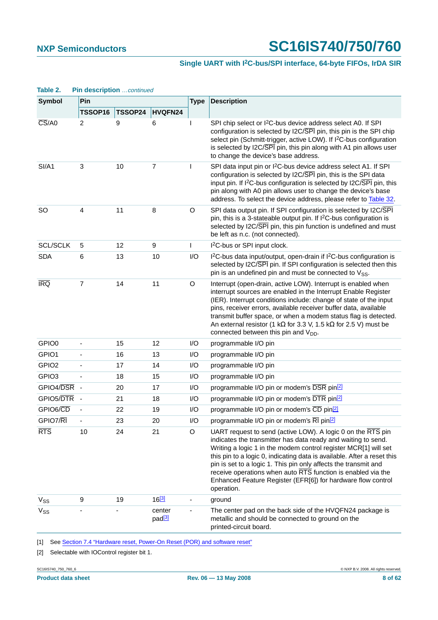#### **Single UART with I2C-bus/SPI interface, 64-byte FIFOs, IrDA SIR**

| ianic z.                            | $\blacksquare$ $\blacksquare$<br>Pin |         |                              |             | <b>Description</b>                                                                                                                                                                                                                                                                                                                                                                                                                                                                          |  |  |  |
|-------------------------------------|--------------------------------------|---------|------------------------------|-------------|---------------------------------------------------------------------------------------------------------------------------------------------------------------------------------------------------------------------------------------------------------------------------------------------------------------------------------------------------------------------------------------------------------------------------------------------------------------------------------------------|--|--|--|
| Symbol                              | TSSOP16                              | TSSOP24 | HVQFN24                      | <b>Type</b> |                                                                                                                                                                                                                                                                                                                                                                                                                                                                                             |  |  |  |
| $\overline{\text{CS}}$ /A0          | 2                                    | 9       | 6                            |             | SPI chip select or I <sup>2</sup> C-bus device address select A0. If SPI<br>configuration is selected by I2C/SPI pin, this pin is the SPI chip<br>select pin (Schmitt-trigger, active LOW). If I <sup>2</sup> C-bus configuration<br>is selected by I2C/SPI pin, this pin along with A1 pin allows user<br>to change the device's base address.                                                                                                                                             |  |  |  |
| SI/A1                               | $\mathbf{3}$                         | 10      | 7                            | ı           | SPI data input pin or I <sup>2</sup> C-bus device address select A1. If SPI<br>configuration is selected by I2C/SPI pin, this is the SPI data<br>input pin. If I <sup>2</sup> C-bus configuration is selected by I2C/SPI pin, this<br>pin along with A0 pin allows user to change the device's base<br>address. To select the device address, please refer to Table 32.                                                                                                                     |  |  |  |
| <b>SO</b>                           | $\overline{4}$                       | 11      | 8                            | O           | SPI data output pin. If SPI configuration is selected by I2C/SPI<br>pin, this is a 3-stateable output pin. If I <sup>2</sup> C-bus configuration is<br>selected by I2C/SPI pin, this pin function is undefined and must<br>be left as n.c. (not connected).                                                                                                                                                                                                                                 |  |  |  |
| <b>SCL/SCLK</b>                     | 5                                    | 12      | 9                            | T           | I <sup>2</sup> C-bus or SPI input clock.                                                                                                                                                                                                                                                                                                                                                                                                                                                    |  |  |  |
| <b>SDA</b>                          | 6                                    | 13      | 10                           | I/O         | I <sup>2</sup> C-bus data input/output, open-drain if I <sup>2</sup> C-bus configuration is<br>selected by I2C/SPI pin. If SPI configuration is selected then this<br>pin is an undefined pin and must be connected to $V_{SS}$ .                                                                                                                                                                                                                                                           |  |  |  |
| <b>IRQ</b>                          | $\overline{7}$                       | 14      | 11                           | O           | Interrupt (open-drain, active LOW). Interrupt is enabled when<br>interrupt sources are enabled in the Interrupt Enable Register<br>(IER). Interrupt conditions include: change of state of the input<br>pins, receiver errors, available receiver buffer data, available<br>transmit buffer space, or when a modem status flag is detected.<br>An external resistor (1 k $\Omega$ for 3.3 V, 1.5 k $\Omega$ for 2.5 V) must be<br>connected between this pin and V <sub>DD</sub> .          |  |  |  |
| GPIO0                               |                                      | 15      | 12                           | I/O         | programmable I/O pin                                                                                                                                                                                                                                                                                                                                                                                                                                                                        |  |  |  |
| GPIO1                               | ä,                                   | 16      | 13                           | I/O         | programmable I/O pin                                                                                                                                                                                                                                                                                                                                                                                                                                                                        |  |  |  |
| GPIO <sub>2</sub>                   |                                      | 17      | 14                           | I/O         | programmable I/O pin                                                                                                                                                                                                                                                                                                                                                                                                                                                                        |  |  |  |
| GPIO <sub>3</sub>                   | ÷,                                   | 18      | 15                           | I/O         | programmable I/O pin                                                                                                                                                                                                                                                                                                                                                                                                                                                                        |  |  |  |
| GPIO4/DSR                           | ÷,                                   | 20      | 17                           | I/O         | programmable I/O pin or modem's DSR pin <sup>[2]</sup>                                                                                                                                                                                                                                                                                                                                                                                                                                      |  |  |  |
| GPIO5/DTR                           | ÷,                                   | 21      | 18                           | I/O         | programmable I/O pin or modem's DTR pin <sup>[2]</sup>                                                                                                                                                                                                                                                                                                                                                                                                                                      |  |  |  |
| GPIO6/CD                            |                                      | 22      | 19                           | I/O         | programmable I/O pin or modem's CD pin <sup>[2]</sup>                                                                                                                                                                                                                                                                                                                                                                                                                                       |  |  |  |
| GPIO7/RI                            |                                      | 23      | 20                           | I/O         | programmable I/O pin or modem's RI pin <sup>[2]</sup>                                                                                                                                                                                                                                                                                                                                                                                                                                       |  |  |  |
| <b>RTS</b>                          | 10                                   | 24      | 21                           | O           | UART request to send (active LOW). A logic 0 on the RTS pin<br>indicates the transmitter has data ready and waiting to send.<br>Writing a logic 1 in the modem control register MCR[1] will set<br>this pin to a logic 0, indicating data is available. After a reset this<br>pin is set to a logic 1. This pin only affects the transmit and<br>receive operations when auto RTS function is enabled via the<br>Enhanced Feature Register (EFR[6]) for hardware flow control<br>operation. |  |  |  |
| $\ensuremath{\mathsf{V}}_\text{SS}$ | 9                                    | 19      | $16^{[3]}$                   |             | ground                                                                                                                                                                                                                                                                                                                                                                                                                                                                                      |  |  |  |
| V <sub>SS</sub>                     |                                      |         | center<br>pad <sup>[3]</sup> |             | The center pad on the back side of the HVQFN24 package is<br>metallic and should be connected to ground on the<br>printed-circuit board.                                                                                                                                                                                                                                                                                                                                                    |  |  |  |

**Table 2. Pin description** continued

<span id="page-7-0"></span>[1] See [Section 7.4 "Hardware reset, Power-On Reset \(POR\) and software reset"](#page-13-0)

<span id="page-7-1"></span>[2] Selectable with IOControl register bit 1.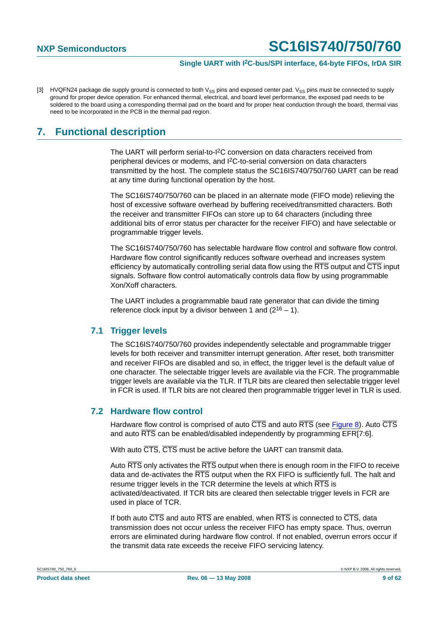<span id="page-8-0"></span>[3] HVQFN24 package die supply ground is connected to both V<sub>SS</sub> pins and exposed center pad. V<sub>SS</sub> pins must be connected to supply ground for proper device operation. For enhanced thermal, electrical, and board level performance, the exposed pad needs to be soldered to the board using a corresponding thermal pad on the board and for proper heat conduction through the board, thermal vias need to be incorporated in the PCB in the thermal pad region.

# <span id="page-8-1"></span>**7. Functional description**

The UART will perform serial-to-I2C conversion on data characters received from peripheral devices or modems, and I2C-to-serial conversion on data characters transmitted by the host. The complete status the SC16IS740/750/760 UART can be read at any time during functional operation by the host.

The SC16IS740/750/760 can be placed in an alternate mode (FIFO mode) relieving the host of excessive software overhead by buffering received/transmitted characters. Both the receiver and transmitter FIFOs can store up to 64 characters (including three additional bits of error status per character for the receiver FIFO) and have selectable or programmable trigger levels.

The SC16IS740/750/760 has selectable hardware flow control and software flow control. Hardware flow control significantly reduces software overhead and increases system efficiency by automatically controlling serial data flow using the  $\overline{RTS}$  output and  $\overline{CTS}$  input signals. Software flow control automatically controls data flow by using programmable Xon/Xoff characters.

The UART includes a programmable baud rate generator that can divide the timing reference clock input by a divisor between 1 and  $(2^{16} – 1)$ .

#### <span id="page-8-2"></span>**7.1 Trigger levels**

The SC16IS740/750/760 provides independently selectable and programmable trigger levels for both receiver and transmitter interrupt generation. After reset, both transmitter and receiver FIFOs are disabled and so, in effect, the trigger level is the default value of one character. The selectable trigger levels are available via the FCR. The programmable trigger levels are available via the TLR. If TLR bits are cleared then selectable trigger level in FCR is used. If TLR bits are not cleared then programmable trigger level in TLR is used.

#### <span id="page-8-3"></span>**7.2 Hardware flow control**

Hardware flow control is comprised of auto  $\overline{CTS}$  and auto  $\overline{RTS}$  (see [Figure](#page-9-0) 8). Auto  $\overline{CTS}$ and auto RTS can be enabled/disabled independently by programming EFR[7:6].

With auto CTS, CTS must be active before the UART can transmit data.

Auto RTS only activates the RTS output when there is enough room in the FIFO to receive data and de-activates the  $\overline{RTS}$  output when the RX FIFO is sufficiently full. The halt and resume trigger levels in the TCR determine the levels at which RTS is activated/deactivated. If TCR bits are cleared then selectable trigger levels in FCR are used in place of TCR.

If both auto CTS and auto RTS are enabled, when RTS is connected to CTS, data transmission does not occur unless the receiver FIFO has empty space. Thus, overrun errors are eliminated during hardware flow control. If not enabled, overrun errors occur if the transmit data rate exceeds the receive FIFO servicing latency.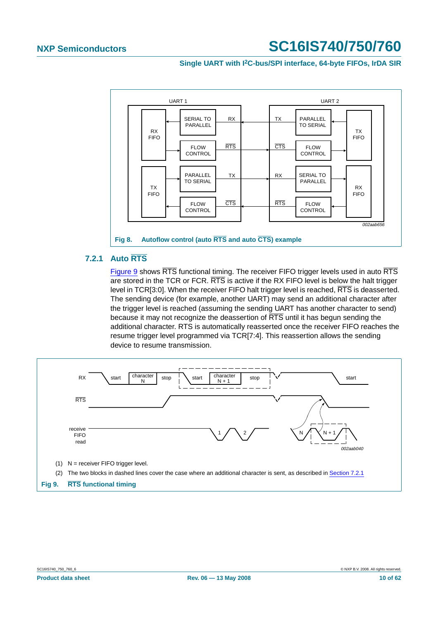

#### <span id="page-9-1"></span><span id="page-9-0"></span>**7.2.1 Auto RTS**

[Figure](#page-9-2) 9 shows RTS functional timing. The receiver FIFO trigger levels used in auto RTS are stored in the TCR or FCR. RTS is active if the RX FIFO level is below the halt trigger level in TCR[3:0]. When the receiver FIFO halt trigger level is reached, RTS is deasserted. The sending device (for example, another UART) may send an additional character after the trigger level is reached (assuming the sending UART has another character to send) because it may not recognize the deassertion of RTS until it has begun sending the additional character. RTS is automatically reasserted once the receiver FIFO reaches the resume trigger level programmed via TCR[7:4]. This reassertion allows the sending device to resume transmission.

<span id="page-9-2"></span>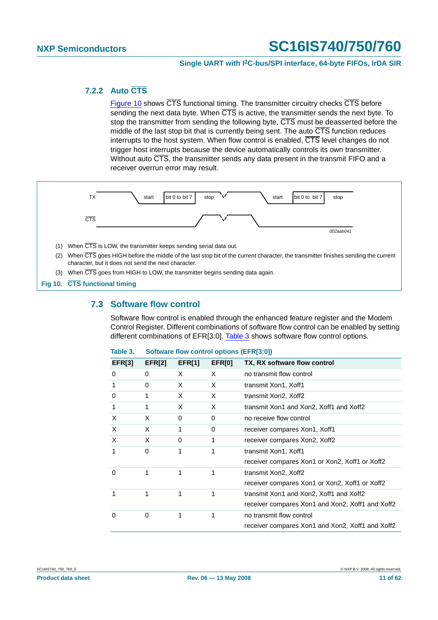#### <span id="page-10-2"></span>**7.2.2 Auto CTS**

[Figure](#page-10-0) 10 shows  $\overline{\text{CTS}}$  functional timing. The transmitter circuitry checks  $\overline{\text{CTS}}$  before sending the next data byte. When  $\overline{\text{CTS}}$  is active, the transmitter sends the next byte. To stop the transmitter from sending the following byte,  $\overline{\text{CTS}}$  must be deasserted before the middle of the last stop bit that is currently being sent. The auto  $\overline{\text{CTS}}$  function reduces interrupts to the host system. When flow control is enabled,  $\overline{\text{CTS}}$  level changes do not trigger host interrupts because the device automatically controls its own transmitter. Without auto  $\overline{\text{CTS}}$ , the transmitter sends any data present in the transmit FIFO and a receiver overrun error may result.



<span id="page-10-3"></span><span id="page-10-0"></span>**Fig 10. CTS functional timing**

### **7.3 Software flow control**

Software flow control is enabled through the enhanced feature register and the Modem Control Register. Different combinations of software flow control can be enabled by setting different combinations of EFR[3:0]. [Table](#page-10-1) 3 shows software flow control options.

<span id="page-10-1"></span>

| lable 3.      |        | Software flow control options (EFR[3:0]) |               |                                                  |  |  |  |  |  |
|---------------|--------|------------------------------------------|---------------|--------------------------------------------------|--|--|--|--|--|
| <b>EFR[3]</b> | EFR[2] | EFR[1]                                   | <b>EFR[0]</b> | TX, RX software flow control                     |  |  |  |  |  |
| 0             | 0      | X                                        | X             | no transmit flow control                         |  |  |  |  |  |
| 1             | 0      | X                                        | X             | transmit Xon1, Xoff1                             |  |  |  |  |  |
| 0             | 1      | X                                        | X             | transmit Xon2, Xoff2                             |  |  |  |  |  |
| 1             | 1      | X                                        | X             | transmit Xon1 and Xon2, Xoff1 and Xoff2          |  |  |  |  |  |
| X             | X      | 0                                        | 0             | no receive flow control                          |  |  |  |  |  |
| X             | X      | 1                                        | 0             | receiver compares Xon1, Xoff1                    |  |  |  |  |  |
| $\times$      | X      | 0                                        | 1             | receiver compares Xon2, Xoff2                    |  |  |  |  |  |
| 1             | 0      | 1                                        | 1             | transmit Xon1, Xoff1                             |  |  |  |  |  |
|               |        |                                          |               | receiver compares Xon1 or Xon2, Xoff1 or Xoff2   |  |  |  |  |  |
| 0             | 1      | 1                                        | 1             | transmit Xon2, Xoff2                             |  |  |  |  |  |
|               |        |                                          |               | receiver compares Xon1 or Xon2, Xoff1 or Xoff2   |  |  |  |  |  |
|               | 1      | 1                                        |               | transmit Xon1 and Xon2, Xoff1 and Xoff2          |  |  |  |  |  |
|               |        |                                          |               | receiver compares Xon1 and Xon2, Xoff1 and Xoff2 |  |  |  |  |  |
| 0             | 0      | 1                                        | 1             | no transmit flow control                         |  |  |  |  |  |
|               |        |                                          |               | receiver compares Xon1 and Xon2, Xoff1 and Xoff2 |  |  |  |  |  |

#### **Table 3. Software flow control options (EFR[3:0])**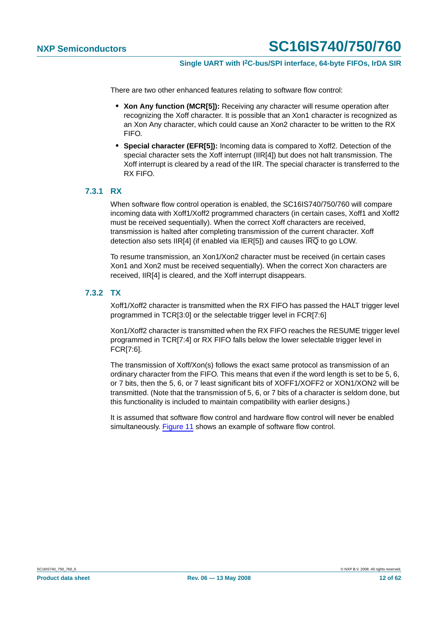There are two other enhanced features relating to software flow control:

- **• Xon Any function (MCR[5]):** Receiving any character will resume operation after recognizing the Xoff character. It is possible that an Xon1 character is recognized as an Xon Any character, which could cause an Xon2 character to be written to the RX FIFO.
- **• Special character (EFR[5]):** Incoming data is compared to Xoff2. Detection of the special character sets the Xoff interrupt (IIR[4]) but does not halt transmission. The Xoff interrupt is cleared by a read of the IIR. The special character is transferred to the RX FIFO.

#### <span id="page-11-0"></span>**7.3.1 RX**

When software flow control operation is enabled, the SC16IS740/750/760 will compare incoming data with Xoff1/Xoff2 programmed characters (in certain cases, Xoff1 and Xoff2 must be received sequentially). When the correct Xoff characters are received, transmission is halted after completing transmission of the current character. Xoff detection also sets IIR[4] (if enabled via IER[5]) and causes  $\overline{IRQ}$  to go LOW.

To resume transmission, an Xon1/Xon2 character must be received (in certain cases Xon1 and Xon2 must be received sequentially). When the correct Xon characters are received, IIR[4] is cleared, and the Xoff interrupt disappears.

#### <span id="page-11-1"></span>**7.3.2 TX**

Xoff1/Xoff2 character is transmitted when the RX FIFO has passed the HALT trigger level programmed in TCR[3:0] or the selectable trigger level in FCR[7:6]

Xon1/Xoff2 character is transmitted when the RX FIFO reaches the RESUME trigger level programmed in TCR[7:4] or RX FIFO falls below the lower selectable trigger level in FCR[7:6].

The transmission of Xoff/Xon(s) follows the exact same protocol as transmission of an ordinary character from the FIFO. This means that even if the word length is set to be 5, 6, or 7 bits, then the 5, 6, or 7 least significant bits of XOFF1/XOFF2 or XON1/XON2 will be transmitted. (Note that the transmission of 5, 6, or 7 bits of a character is seldom done, but this functionality is included to maintain compatibility with earlier designs.)

It is assumed that software flow control and hardware flow control will never be enabled simultaneously. [Figure](#page-12-0) 11 shows an example of software flow control.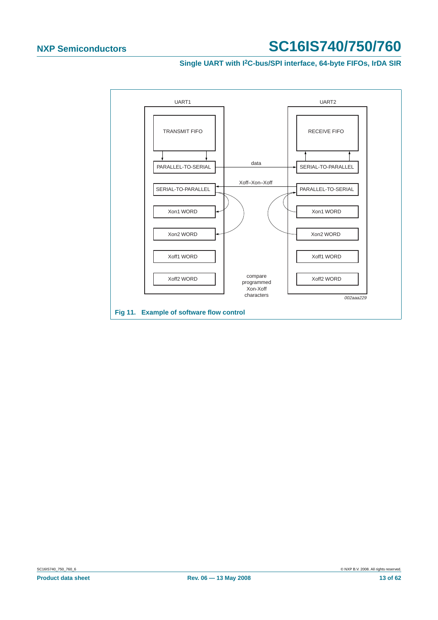**Single UART with I2C-bus/SPI interface, 64-byte FIFOs, IrDA SIR**

<span id="page-12-0"></span>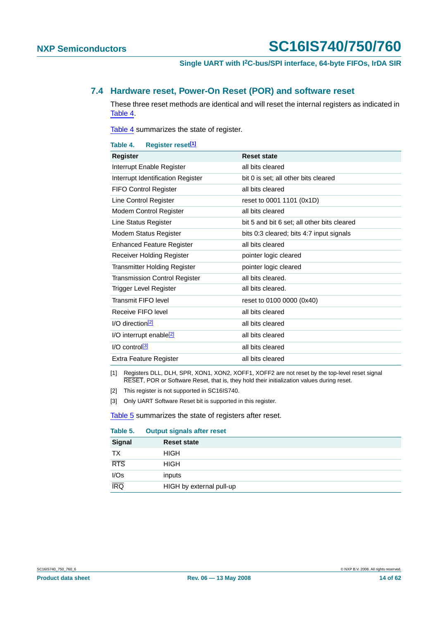#### <span id="page-13-0"></span>**7.4 Hardware reset, Power-On Reset (POR) and software reset**

These three reset methods are identical and will reset the internal registers as indicated in [Table](#page-13-4) 4.

[Table](#page-13-4) 4 summarizes the state of register.

<span id="page-13-4"></span>

| Register reset <sup>[1]</sup><br>Table 4. |                                             |
|-------------------------------------------|---------------------------------------------|
| Register                                  | <b>Reset state</b>                          |
| Interrupt Enable Register                 | all bits cleared                            |
| Interrupt Identification Register         | bit 0 is set; all other bits cleared        |
| <b>FIFO Control Register</b>              | all bits cleared                            |
| Line Control Register                     | reset to 0001 1101 (0x1D)                   |
| Modem Control Register                    | all bits cleared                            |
| Line Status Register                      | bit 5 and bit 6 set; all other bits cleared |
| Modem Status Register                     | bits 0:3 cleared; bits 4:7 input signals    |
| <b>Enhanced Feature Register</b>          | all bits cleared                            |
| Receiver Holding Register                 | pointer logic cleared                       |
| <b>Transmitter Holding Register</b>       | pointer logic cleared                       |
| <b>Transmission Control Register</b>      | all bits cleared.                           |
| Trigger Level Register                    | all bits cleared.                           |
| Transmit FIFO level                       | reset to 0100 0000 (0x40)                   |
| Receive FIFO level                        | all bits cleared                            |
| $I/O$ direction <sup>[2]</sup>            | all bits cleared                            |
| I/O interrupt enable <sup>[2]</sup>       | all bits cleared                            |
| $I/O$ control $[3]$                       | all bits cleared                            |
| Extra Feature Register                    | all bits cleared                            |
|                                           |                                             |

<span id="page-13-1"></span>[1] Registers DLL, DLH, SPR, XON1, XON2, XOFF1, XOFF2 are not reset by the top-level reset signal RESET, POR or Software Reset, that is, they hold their initialization values during reset.

<span id="page-13-2"></span>[2] This register is not supported in SC16IS740.

<span id="page-13-3"></span>[3] Only UART Software Reset bit is supported in this register.

[Table](#page-13-5) 5 summarizes the state of registers after reset.

<span id="page-13-5"></span>

| Table 5.      | <b>Output signals after reset</b> |  |
|---------------|-----------------------------------|--|
| <b>Signal</b> | <b>Reset state</b>                |  |
| ТX            | <b>HIGH</b>                       |  |
| <b>RTS</b>    | <b>HIGH</b>                       |  |
| I/Os          | inputs                            |  |
| <b>IRQ</b>    | HIGH by external pull-up          |  |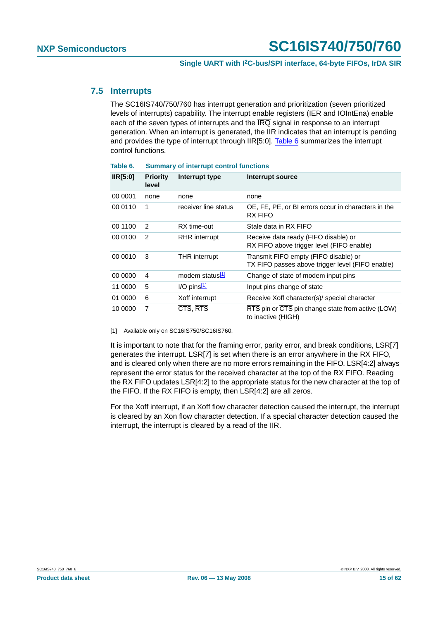#### <span id="page-14-2"></span>**7.5 Interrupts**

The SC16IS740/750/760 has interrupt generation and prioritization (seven prioritized levels of interrupts) capability. The interrupt enable registers (IER and IOIntEna) enable each of the seven types of interrupts and the  $\overline{\text{IRQ}}$  signal in response to an interrupt generation. When an interrupt is generated, the IIR indicates that an interrupt is pending and provides the type of interrupt through IIR[5:0]. [Table](#page-14-1) 6 summarizes the interrupt control functions.

| IR[5:0] | <b>Priority</b><br>level | Interrupt type       | Interrupt source                                                                          |
|---------|--------------------------|----------------------|-------------------------------------------------------------------------------------------|
| 00 0001 | none                     | none                 | none                                                                                      |
| 00 0110 | 1                        | receiver line status | OE, FE, PE, or BI errors occur in characters in the<br><b>RX FIFO</b>                     |
| 00 1100 | 2                        | RX time-out          | Stale data in RX FIFO                                                                     |
| 00 0100 | 2                        | RHR interrupt        | Receive data ready (FIFO disable) or<br>RX FIFO above trigger level (FIFO enable)         |
| 00 0010 | 3                        | <b>THR</b> interrupt | Transmit FIFO empty (FIFO disable) or<br>TX FIFO passes above trigger level (FIFO enable) |
| 00 0000 | 4                        | modem status[1]      | Change of state of modem input pins                                                       |
| 11 0000 | 5                        | $I/O$ pins $1$       | Input pins change of state                                                                |
| 01 0000 | 6                        | Xoff interrupt       | Receive Xoff character(s)/ special character                                              |
| 10 0000 | 7                        | CTS, RTS             | RTS pin or CTS pin change state from active (LOW)<br>to inactive (HIGH)                   |

<span id="page-14-1"></span>**Table 6. Summary of interrupt control functions**

<span id="page-14-0"></span>[1] Available only on SC16IS750/SC16IS760.

It is important to note that for the framing error, parity error, and break conditions, LSR[7] generates the interrupt. LSR[7] is set when there is an error anywhere in the RX FIFO, and is cleared only when there are no more errors remaining in the FIFO. LSR[4:2] always represent the error status for the received character at the top of the RX FIFO. Reading the RX FIFO updates LSR[4:2] to the appropriate status for the new character at the top of the FIFO. If the RX FIFO is empty, then LSR[4:2] are all zeros.

For the Xoff interrupt, if an Xoff flow character detection caused the interrupt, the interrupt is cleared by an Xon flow character detection. If a special character detection caused the interrupt, the interrupt is cleared by a read of the IIR.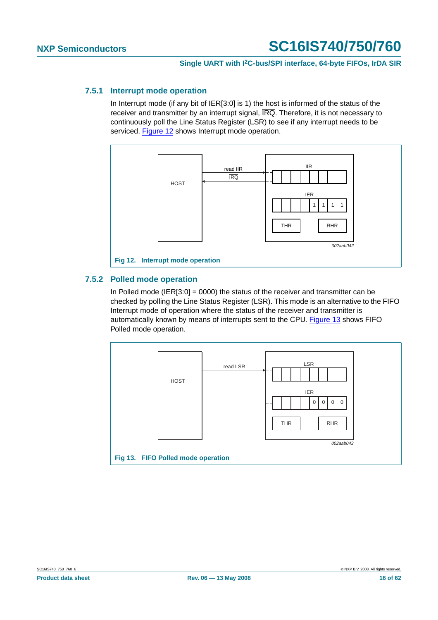#### <span id="page-15-2"></span>**7.5.1 Interrupt mode operation**

In Interrupt mode (if any bit of IER[3:0] is 1) the host is informed of the status of the receiver and transmitter by an interrupt signal, IRQ. Therefore, it is not necessary to continuously poll the Line Status Register (LSR) to see if any interrupt needs to be serviced. [Figure](#page-15-0) 12 shows Interrupt mode operation.



#### <span id="page-15-3"></span><span id="page-15-0"></span>**7.5.2 Polled mode operation**

In Polled mode (IER[3:0] = 0000) the status of the receiver and transmitter can be checked by polling the Line Status Register (LSR). This mode is an alternative to the FIFO Interrupt mode of operation where the status of the receiver and transmitter is automatically known by means of interrupts sent to the CPU. [Figure](#page-15-1) 13 shows FIFO Polled mode operation.

<span id="page-15-1"></span>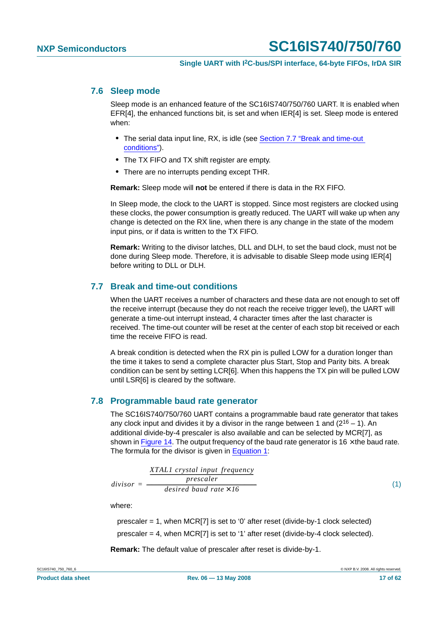#### <span id="page-16-2"></span>**7.6 Sleep mode**

Sleep mode is an enhanced feature of the SC16IS740/750/760 UART. It is enabled when EFR[4], the enhanced functions bit, is set and when IER[4] is set. Sleep mode is entered when:

- **•** The serial data input line, RX, is idle (see [Section 7.7 "Break and time-out](#page-16-0) [conditions"](#page-16-0)).
- **•** The TX FIFO and TX shift register are empty.
- **•** There are no interrupts pending except THR.

**Remark:** Sleep mode will **not** be entered if there is data in the RX FIFO.

In Sleep mode, the clock to the UART is stopped. Since most registers are clocked using these clocks, the power consumption is greatly reduced. The UART will wake up when any change is detected on the RX line, when there is any change in the state of the modem input pins, or if data is written to the TX FIFO.

**Remark:** Writing to the divisor latches, DLL and DLH, to set the baud clock, must not be done during Sleep mode. Therefore, it is advisable to disable Sleep mode using IER[4] before writing to DLL or DLH.

### <span id="page-16-0"></span>**7.7 Break and time-out conditions**

When the UART receives a number of characters and these data are not enough to set off the receive interrupt (because they do not reach the receive trigger level), the UART will generate a time-out interrupt instead, 4 character times after the last character is received. The time-out counter will be reset at the center of each stop bit received or each time the receive FIFO is read.

A break condition is detected when the RX pin is pulled LOW for a duration longer than the time it takes to send a complete character plus Start, Stop and Parity bits. A break condition can be sent by setting LCR[6]. When this happens the TX pin will be pulled LOW until LSR[6] is cleared by the software.

#### <span id="page-16-3"></span>**7.8 Programmable baud rate generator**

The SC16IS740/750/760 UART contains a programmable baud rate generator that takes any clock input and divides it by a divisor in the range between 1 and  $(2^{16} - 1)$ . An additional divide-by-4 prescaler is also available and can be selected by MCR[7], as shown in [Figure](#page-17-0) 14. The output frequency of the baud rate generator is 16  $\times$  the baud rate. The formula for the divisor is given in [Equation](#page-16-1) 1:

<span id="page-16-1"></span>
$$
divisor = \frac{\left(\frac{XTAL1\ crystal\ input\ frequency}{prescale\ r}\right)}{desired\ bad\ rate \times 16}
$$
\n(1)

where:

prescaler = 1, when MCR[7] is set to '0' after reset (divide-by-1 clock selected) prescaler = 4, when MCR[7] is set to '1' after reset (divide-by-4 clock selected).

**Remark:** The default value of prescaler after reset is divide-by-1.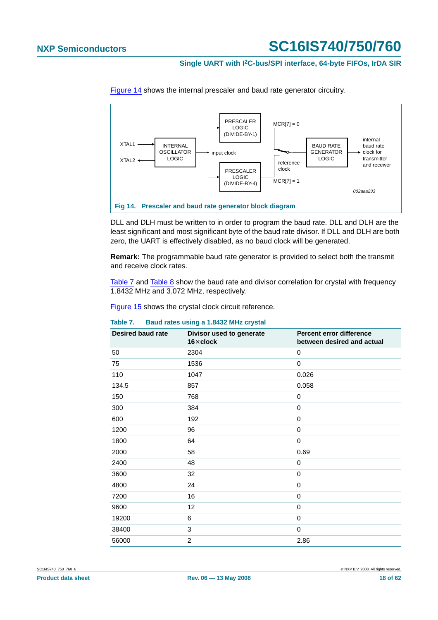#### **Single UART with I2C-bus/SPI interface, 64-byte FIFOs, IrDA SIR**



[Figure](#page-17-0) 14 shows the internal prescaler and baud rate generator circuitry.

<span id="page-17-0"></span>DLL and DLH must be written to in order to program the baud rate. DLL and DLH are the least significant and most significant byte of the baud rate divisor. If DLL and DLH are both zero, the UART is effectively disabled, as no baud clock will be generated.

**Remark:** The programmable baud rate generator is provided to select both the transmit and receive clock rates.

[Table](#page-18-1) 7 and Table 8 show the baud rate and divisor correlation for crystal with frequency 1.8432 MHz and 3.072 MHz, respectively.

[Figure](#page-18-0) 15 shows the crystal clock circuit reference.

# <span id="page-17-1"></span>**Table 7. Baud rates using a 1.8432 MHz crystal**

| <b>Desired baud rate</b> | Divisor used to generate<br>$16\times$ clock | Percent error difference<br>between desired and actual |
|--------------------------|----------------------------------------------|--------------------------------------------------------|
| 50                       | 2304                                         | 0                                                      |
| 75                       | 1536                                         | $\mathbf 0$                                            |
| 110                      | 1047                                         | 0.026                                                  |
| 134.5                    | 857                                          | 0.058                                                  |
| 150                      | 768                                          | 0                                                      |
| 300                      | 384                                          | $\mathbf 0$                                            |
| 600                      | 192                                          | 0                                                      |
| 1200                     | 96                                           | $\mathbf 0$                                            |
| 1800                     | 64                                           | $\mathbf 0$                                            |
| 2000                     | 58                                           | 0.69                                                   |
| 2400                     | 48                                           | 0                                                      |
| 3600                     | 32                                           | 0                                                      |
| 4800                     | 24                                           | $\mathbf 0$                                            |
| 7200                     | 16                                           | $\mathbf 0$                                            |
| 9600                     | 12                                           | $\mathbf 0$                                            |
| 19200                    | 6                                            | $\mathbf 0$                                            |
| 38400                    | 3                                            | $\mathbf 0$                                            |
| 56000                    | $\overline{2}$                               | 2.86                                                   |

SC16IS740\_750\_760\_6 © NXP B.V. 2008. All rights reserved.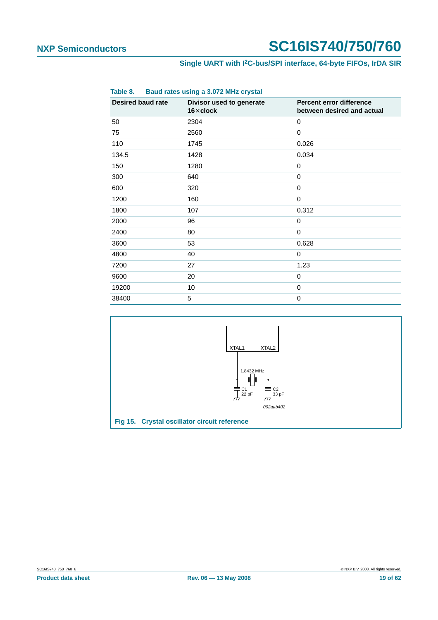### **Single UART with I2C-bus/SPI interface, 64-byte FIFOs, IrDA SIR**

<span id="page-18-1"></span>

| Table 8.                 | Baud rates using a 3.072 MHz crystal         |                                                        |  |  |  |  |  |  |
|--------------------------|----------------------------------------------|--------------------------------------------------------|--|--|--|--|--|--|
| <b>Desired baud rate</b> | Divisor used to generate<br>$16\times$ clock | Percent error difference<br>between desired and actual |  |  |  |  |  |  |
| 50                       | 2304                                         | 0                                                      |  |  |  |  |  |  |
| 75                       | 2560                                         | 0                                                      |  |  |  |  |  |  |
| 110                      | 1745                                         | 0.026                                                  |  |  |  |  |  |  |
| 134.5                    | 1428                                         | 0.034                                                  |  |  |  |  |  |  |
| 150                      | 1280                                         | $\mathbf 0$                                            |  |  |  |  |  |  |
| 300                      | 640                                          | 0                                                      |  |  |  |  |  |  |
| 600                      | 320                                          | 0                                                      |  |  |  |  |  |  |
| 1200                     | 160                                          | 0                                                      |  |  |  |  |  |  |
| 1800                     | 107                                          | 0.312                                                  |  |  |  |  |  |  |
| 2000                     | 96                                           | 0                                                      |  |  |  |  |  |  |
| 2400                     | 80                                           | $\mathbf 0$                                            |  |  |  |  |  |  |
| 3600                     | 53                                           | 0.628                                                  |  |  |  |  |  |  |
| 4800                     | 40                                           | 0                                                      |  |  |  |  |  |  |
| 7200                     | 27                                           | 1.23                                                   |  |  |  |  |  |  |
| 9600                     | 20                                           | 0                                                      |  |  |  |  |  |  |
| 19200                    | 10                                           | 0                                                      |  |  |  |  |  |  |
| 38400                    | 5                                            | 0                                                      |  |  |  |  |  |  |

<span id="page-18-0"></span>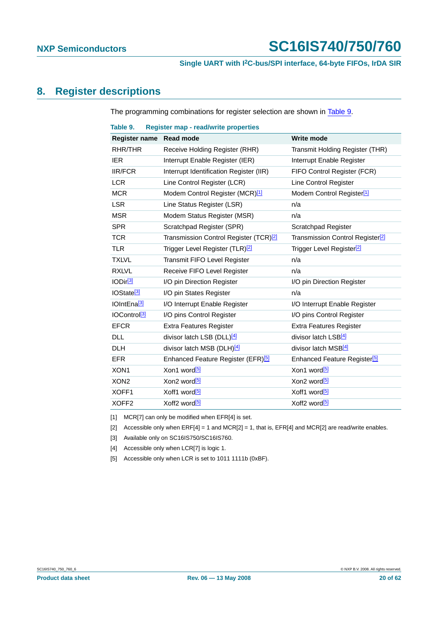### <span id="page-19-6"></span>**8. Register descriptions**

The programming combinations for register selection are shown in [Table](#page-19-5) 9.

<span id="page-19-5"></span>

| Table 9.                 | <b>Register map - read/write properties</b>        |                                              |
|--------------------------|----------------------------------------------------|----------------------------------------------|
| Register name Read mode  |                                                    | <b>Write mode</b>                            |
| RHR/THR                  | Receive Holding Register (RHR)                     | Transmit Holding Register (THR)              |
| <b>IER</b>               | Interrupt Enable Register (IER)                    | Interrupt Enable Register                    |
| <b>IIR/FCR</b>           | Interrupt Identification Register (IIR)            | FIFO Control Register (FCR)                  |
| <b>LCR</b>               | Line Control Register (LCR)                        | Line Control Register                        |
| <b>MCR</b>               | Modem Control Register (MCR) <sup>[1]</sup>        | Modem Control Register <sup>[1]</sup>        |
| <b>LSR</b>               | Line Status Register (LSR)                         | n/a                                          |
| <b>MSR</b>               | Modem Status Register (MSR)                        | n/a                                          |
| <b>SPR</b>               | Scratchpad Register (SPR)                          | Scratchpad Register                          |
| <b>TCR</b>               | Transmission Control Register (TCR) <sup>[2]</sup> | Transmission Control Register <sup>[2]</sup> |
| <b>TLR</b>               | Trigger Level Register (TLR) <sup>[2]</sup>        | Trigger Level Register <sup>[2]</sup>        |
| <b>TXLVL</b>             | Transmit FIFO Level Register                       | n/a                                          |
| <b>RXLVL</b>             | Receive FIFO Level Register                        | n/a                                          |
| IODir <sup>[3]</sup>     | I/O pin Direction Register                         | I/O pin Direction Register                   |
| IOState <sup>[3]</sup>   | I/O pin States Register                            | n/a                                          |
| IOIntEna <sup>[3]</sup>  | I/O Interrupt Enable Register                      | I/O Interrupt Enable Register                |
| IOControl <sup>[3]</sup> | I/O pins Control Register                          | I/O pins Control Register                    |
| <b>EFCR</b>              | <b>Extra Features Register</b>                     | Extra Features Register                      |
| <b>DLL</b>               | divisor latch LSB (DLL) $[4]$                      | divisor latch LSB <sup>[4]</sup>             |
| <b>DLH</b>               | divisor latch MSB (DLH)[4]                         | divisor latch MSB[4]                         |
| <b>EFR</b>               | Enhanced Feature Register (EFR) <sup>[5]</sup>     | Enhanced Feature Register <sup>[5]</sup>     |
| XON <sub>1</sub>         | Xon1 word <sup>[5]</sup>                           | Xon1 word <sup>[5]</sup>                     |
| XON <sub>2</sub>         | Xon2 word <sup>[5]</sup>                           | Xon2 word <sup>[5]</sup>                     |
| XOFF1                    | Xoff1 word <sup>[5]</sup>                          | Xoff1 word <sup>[5]</sup>                    |
| XOFF <sub>2</sub>        | Xoff2 word <sup>[5]</sup>                          | Xoff2 word <sup>[5]</sup>                    |

<span id="page-19-0"></span>[1] MCR[7] can only be modified when EFR[4] is set.

- <span id="page-19-1"></span>[2] Accessible only when  $ERF[4] = 1$  and  $MCR[2] = 1$ , that is,  $EFR[4]$  and  $MCR[2]$  are read/write enables.
- <span id="page-19-2"></span>[3] Available only on SC16IS750/SC16IS760.
- <span id="page-19-3"></span>[4] Accessible only when LCR[7] is logic 1.
- <span id="page-19-4"></span>[5] Accessible only when LCR is set to 1011 1111b (0xBF).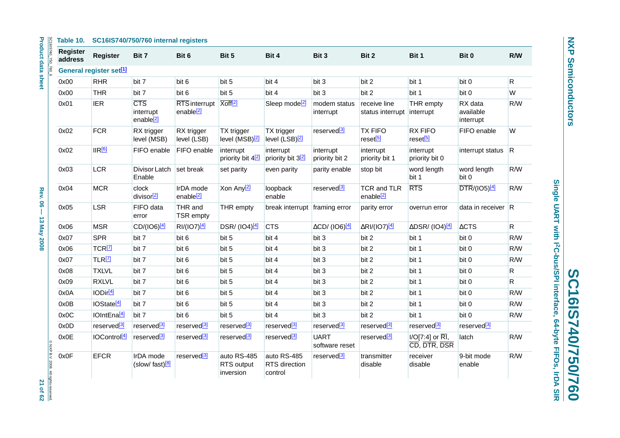#### **Table 10. SC16IS740/750/760 internal registers**

| SC16IS740_750_760                    | <b>Register</b><br>address | Register                            | Bit 7                                            | Bit 6                                         | Bit 5                                      | Bit 4                                      | Bit 3                                | Bit 2                                      | Bit 1                                           | Bit 0                             | R/W          |
|--------------------------------------|----------------------------|-------------------------------------|--------------------------------------------------|-----------------------------------------------|--------------------------------------------|--------------------------------------------|--------------------------------------|--------------------------------------------|-------------------------------------------------|-----------------------------------|--------------|
|                                      |                            | General register set <sup>[1]</sup> |                                                  |                                               |                                            |                                            |                                      |                                            |                                                 |                                   |              |
|                                      | 0x00                       | <b>RHR</b>                          | bit 7                                            | bit 6                                         | bit 5                                      | bit 4                                      | bit 3                                | bit 2                                      | bit 1                                           | bit 0                             | $\mathsf{R}$ |
|                                      | 0x00                       | <b>THR</b>                          | bit 7                                            | bit 6                                         | bit 5                                      | bit 4                                      | bit 3                                | bit 2                                      | bit 1                                           | bit 0                             | W            |
|                                      | 0x01                       | <b>IER</b>                          | <b>CTS</b><br>interrupt<br>enable <sup>[2]</sup> | <b>RTS</b> interrupt<br>enable <sup>[2]</sup> | Xoff <sup>[2]</sup>                        | Sleep mode <sup>[2]</sup>                  | modem status<br>interrupt            | receive line<br>status interrupt interrupt | THR empty                                       | RX data<br>available<br>interrupt | R/W          |
|                                      | 0x02                       | <b>FCR</b>                          | RX trigger<br>level (MSB)                        | RX trigger<br>level (LSB)                     | TX trigger<br>level (MSB) <sup>[2]</sup>   | TX trigger<br>level (LSB) <sup>[2]</sup>   | reserved <sup>[3]</sup>              | <b>TX FIFO</b><br>reset <sup>[5]</sup>     | <b>RX FIFO</b><br>reset <sup>[5]</sup>          | FIFO enable                       | W            |
|                                      | 0x02                       | IIR[6]                              | FIFO enable                                      | FIFO enable                                   | interrupt<br>priority bit 4 <sup>[2]</sup> | interrupt<br>priority bit 3 <sup>[2]</sup> | interrupt<br>priority bit 2          | interrupt<br>priority bit 1                | interrupt<br>priority bit 0                     | interrupt status R                |              |
|                                      | 0x03                       | <b>LCR</b>                          | Divisor Latch<br>Enable                          | set break                                     | set parity                                 | even parity                                | parity enable                        | stop bit                                   | word length<br>bit 1                            | word length<br>bit 0              | R/W          |
|                                      | 0x04                       | <b>MCR</b>                          | clock<br>divisor <sup>[2]</sup>                  | IrDA mode<br>enable <sup>[2]</sup>            | Xon Any <sup>[2]</sup>                     | loopback<br>enable                         | reserved <sup>[3]</sup>              | TCR and TLR<br>enable <sup>[2]</sup>       | RTS                                             | $\overline{DTR}/(IO5)$ [4]        | R/W          |
|                                      | 0x05                       | <b>LSR</b>                          | FIFO data<br>error                               | THR and<br>TSR empty                          | THR empty                                  | break interrupt framing error              |                                      | parity error                               | overrun error                                   | data in receiver $R$              |              |
|                                      | 0x06                       | <b>MSR</b>                          | CD/(IO6)[4]                                      | RI/(IO7)[4]                                   | DSR/ (IO4)[4]                              | <b>CTS</b>                                 | $\Delta$ CD/ (IO6) $\frac{[4]}{[4]}$ | $\Delta$ RI/(IO7)[4]                       | ΔDSR/ (IO4) <sup>[4]</sup>                      | $\triangle CTS$                   | $\mathsf{R}$ |
|                                      | 0x07                       | <b>SPR</b>                          | bit 7                                            | bit 6                                         | bit 5                                      | bit 4                                      | bit 3                                | bit 2                                      | bit 1                                           | bit 0                             | R/W          |
|                                      | 0x06                       | TCR <sup>[7]</sup>                  | bit 7                                            | bit 6                                         | bit 5                                      | bit 4                                      | bit 3                                | bit 2                                      | bit 1                                           | bit 0                             | R/W          |
|                                      | 0x07                       | TLR <sup>[7]</sup>                  | bit 7                                            | bit 6                                         | bit 5                                      | bit 4                                      | bit 3                                | bit 2                                      | bit 1                                           | bit 0                             | R/W          |
|                                      | 0x08                       | <b>TXLVL</b>                        | bit 7                                            | bit 6                                         | bit 5                                      | bit 4                                      | bit 3                                | bit 2                                      | bit 1                                           | bit 0                             | $\mathsf{R}$ |
|                                      | 0x09                       | <b>RXLVL</b>                        | bit 7                                            | bit 6                                         | bit 5                                      | bit 4                                      | bit 3                                | bit 2                                      | bit 1                                           | bit 0                             | $\mathsf{R}$ |
|                                      | 0x0A                       | IODir <sup>[4]</sup>                | bit 7                                            | bit 6                                         | bit 5                                      | bit 4                                      | bit 3                                | bit 2                                      | bit 1                                           | bit 0                             | R/W          |
|                                      | 0x0B                       | IOState <sup>[4]</sup>              | bit 7                                            | bit 6                                         | bit 5                                      | bit 4                                      | bit 3                                | bit 2                                      | bit 1                                           | bit 0                             | R/W          |
|                                      | 0x0C                       | IOIntEna <sup>[4]</sup>             | bit 7                                            | bit 6                                         | bit 5                                      | bit 4                                      | bit 3                                | bit 2                                      | bit 1                                           | bit 0                             | R/W          |
|                                      | 0x0D                       | reserved <sup>[3]</sup>             | reserved <sup>[3]</sup>                          | reserved <sup>[3]</sup>                       | reserved <sup>[3]</sup>                    | reserved <sup>[3]</sup>                    | reserved <sup>[3]</sup>              | reserved <sup>[3]</sup>                    | reserved <sup>[3]</sup>                         | reserved <sup>[3]</sup>           |              |
|                                      | 0x0E                       | IOControl <sup>[4]</sup>            | reserved <sup>[3]</sup>                          | reserved <sup>[3]</sup>                       | reserved <sup>[3]</sup>                    | reserved <sup>[3]</sup>                    | <b>UART</b><br>software reset        | reserved <sup>[3]</sup>                    | $I/O[7:4]$ or $\overline{RI}$ ,<br>CD, DTR, DSR | latch                             | R/W          |
| @ NXP B.V. 2008. All rights reserved | 0x0F                       | <b>EFCR</b>                         | IrDA mode<br>(slow/ fast) $[8]$                  | reserved <sup>[3]</sup>                       | auto RS-485<br>RTS output<br>inversion     | auto RS-485<br>RTS direction<br>control    | reserved <sup>[3]</sup>              | transmitter<br>disable                     | receiver<br>disable                             | 9-bit mode<br>enable              | R/W          |

**NXP Semiconductors NXP Semiconductors**

Single UART with I2C-bus/SPI interface, 64-byte FIFOs, IrDA SIR **Single UART with I2C-bus/SPI interface, 64-byte FIFOs, IrDA SIR**

**SC16IS740/750/760**

SC16IS740/750/760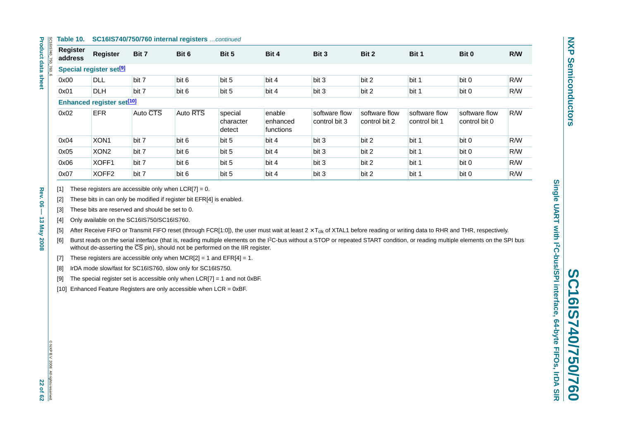#### **Table 10. SC16IS740/750/760 internal registers** …continued

| Table 10.                  |                                             | <b>SC16IS740/750/760 internal registers</b> continued |          |                                |                                 |                                |                                |                                |                                |     |  |
|----------------------------|---------------------------------------------|-------------------------------------------------------|----------|--------------------------------|---------------------------------|--------------------------------|--------------------------------|--------------------------------|--------------------------------|-----|--|
| <b>Register</b><br>address | <b>Register</b>                             | Bit 7                                                 | Bit 6    | Bit 5                          | Bit 4                           | Bit 3                          | Bit 2                          | Bit 1                          | Bit 0                          | R/W |  |
|                            | Special register set <sup>[9]</sup>         |                                                       |          |                                |                                 |                                |                                |                                |                                |     |  |
| 0x00                       | <b>DLL</b>                                  | bit 7                                                 | bit 6    | bit 5                          | bit 4                           | bit 3                          | bit 2                          | bit 1                          | bit 0                          | R/W |  |
| 0x01                       | <b>DLH</b>                                  | bit 7                                                 | bit 6    | bit 5                          | bit 4                           | bit 3                          | bit 2                          | bit 1                          | bit 0                          | R/W |  |
|                            | <b>Enhanced register set<sup>[10]</sup></b> |                                                       |          |                                |                                 |                                |                                |                                |                                |     |  |
| 0x02                       | <b>EFR</b>                                  | Auto CTS                                              | Auto RTS | special<br>character<br>detect | enable<br>enhanced<br>functions | software flow<br>control bit 3 | software flow<br>control bit 2 | software flow<br>control bit 1 | software flow<br>control bit 0 | R/W |  |
| 0x04                       | XON <sub>1</sub>                            | bit 7                                                 | bit 6    | bit 5                          | bit 4                           | bit 3                          | bit 2                          | bit 1                          | bit 0                          | R/W |  |
| 0x05                       | XON <sub>2</sub>                            | bit 7                                                 | bit 6    | bit 5                          | bit 4                           | bit 3                          | bit 2                          | bit 1                          | bit 0                          | R/W |  |
| 0x06                       | XOFF1                                       | bit 7                                                 | bit 6    | bit 5                          | bit 4                           | bit 3                          | bit 2                          | bit 1                          | bit 0                          | R/W |  |
| 0x07                       | XOFF <sub>2</sub>                           | bit 7                                                 | bit 6    | bit 5                          | bit 4                           | bit 3                          | bit 2                          | bit 1                          | bit 0                          | R/W |  |

<span id="page-21-0"></span>

<span id="page-21-1"></span>

<span id="page-21-2"></span>

<span id="page-21-5"></span>

<span id="page-21-4"></span><span id="page-21-3"></span>

(1) These registers are accessible only when LCR(7) = 0.<br>
(3) These bis in can only be mostfied if register bit ETR(4) is enabled.<br>
(3) These bis is are not word modified if register bit ETR(4) is enabled.<br>
(4) Only avail

<span id="page-21-6"></span>

<span id="page-21-7"></span>

<span id="page-21-8"></span>

<span id="page-21-9"></span>

**Product data sheet** 

Ιg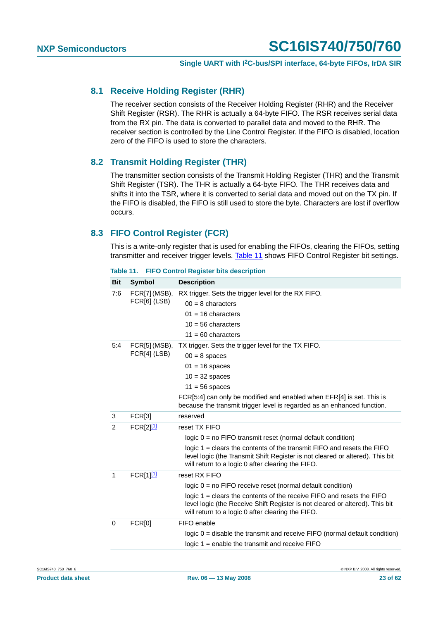#### <span id="page-22-1"></span>**8.1 Receive Holding Register (RHR)**

The receiver section consists of the Receiver Holding Register (RHR) and the Receiver Shift Register (RSR). The RHR is actually a 64-byte FIFO. The RSR receives serial data from the RX pin. The data is converted to parallel data and moved to the RHR. The receiver section is controlled by the Line Control Register. If the FIFO is disabled, location zero of the FIFO is used to store the characters.

#### <span id="page-22-2"></span>**8.2 Transmit Holding Register (THR)**

The transmitter section consists of the Transmit Holding Register (THR) and the Transmit Shift Register (TSR). The THR is actually a 64-byte FIFO. The THR receives data and shifts it into the TSR, where it is converted to serial data and moved out on the TX pin. If the FIFO is disabled, the FIFO is still used to store the byte. Characters are lost if overflow occurs.

### <span id="page-22-3"></span>**8.3 FIFO Control Register (FCR)**

This is a write-only register that is used for enabling the FIFOs, clearing the FIFOs, setting transmitter and receiver trigger levels. [Table](#page-22-0) 11 shows FIFO Control Register bit settings.

| <b>Bit</b> | <b>Symbol</b>         | <b>Description</b>                                                                                                                                                                                             |
|------------|-----------------------|----------------------------------------------------------------------------------------------------------------------------------------------------------------------------------------------------------------|
| 7:6        | FCR[7] (MSB),         | RX trigger. Sets the trigger level for the RX FIFO.                                                                                                                                                            |
|            | FCR[6] (LSB)          | $00 = 8$ characters                                                                                                                                                                                            |
|            |                       | $01 = 16$ characters                                                                                                                                                                                           |
|            |                       | $10 = 56$ characters                                                                                                                                                                                           |
|            |                       | $11 = 60$ characters                                                                                                                                                                                           |
| 5:4        | FCR[5] (MSB),         | TX trigger. Sets the trigger level for the TX FIFO.                                                                                                                                                            |
|            | FCR[4] (LSB)          | $00 = 8$ spaces                                                                                                                                                                                                |
|            |                       | $01 = 16$ spaces                                                                                                                                                                                               |
|            |                       | $10 = 32$ spaces                                                                                                                                                                                               |
|            |                       | $11 = 56$ spaces                                                                                                                                                                                               |
|            |                       | FCR[5:4] can only be modified and enabled when EFR[4] is set. This is<br>because the transmit trigger level is regarded as an enhanced function.                                                               |
| 3          | FCR[3]                | reserved                                                                                                                                                                                                       |
| 2          | FCR[2] <sup>[1]</sup> | reset TX FIFO                                                                                                                                                                                                  |
|            |                       | $logic 0 = no FIFO transmit reset (normal default condition)$                                                                                                                                                  |
|            |                       | logic $1 =$ clears the contents of the transmit FIFO and resets the FIFO<br>level logic (the Transmit Shift Register is not cleared or altered). This bit<br>will return to a logic 0 after clearing the FIFO. |
| 1          | FCR[1] <sup>[1]</sup> | reset RX FIFO                                                                                                                                                                                                  |
|            |                       | $logic 0 = no FIFO receive reset (normal default condition)$                                                                                                                                                   |
|            |                       | logic 1 = clears the contents of the receive FIFO and resets the FIFO<br>level logic (the Receive Shift Register is not cleared or altered). This bit<br>will return to a logic 0 after clearing the FIFO.     |
| 0          | <b>FCR[0]</b>         | FIFO enable                                                                                                                                                                                                    |
|            |                       | logic $0 =$ disable the transmit and receive FIFO (normal default condition)                                                                                                                                   |
|            |                       | logic $1$ = enable the transmit and receive $FIFO$                                                                                                                                                             |
|            |                       |                                                                                                                                                                                                                |

<span id="page-22-0"></span>**Table 11. FIFO Control Register bits description**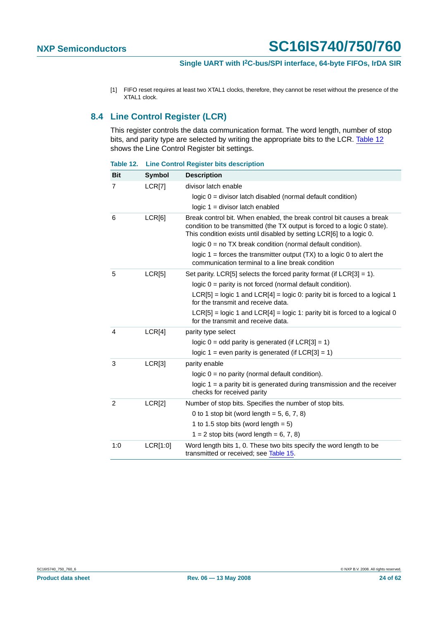<span id="page-23-0"></span>[1] FIFO reset requires at least two XTAL1 clocks, therefore, they cannot be reset without the presence of the XTAL1 clock.

### <span id="page-23-2"></span>**8.4 Line Control Register (LCR)**

This register controls the data communication format. The word length, number of stop bits, and parity type are selected by writing the appropriate bits to the LCR. [Table](#page-23-1) 12 shows the Line Control Register bit settings.

| <b>Bit</b>     | <b>Symbol</b> | <b>Description</b>                                                                                                                                                                                                         |
|----------------|---------------|----------------------------------------------------------------------------------------------------------------------------------------------------------------------------------------------------------------------------|
| $\overline{7}$ | LCR[7]        | divisor latch enable                                                                                                                                                                                                       |
|                |               | $logic 0 = divisor$ latch disabled (normal default condition)                                                                                                                                                              |
|                |               | $logic 1 = divisor$ latch enabled                                                                                                                                                                                          |
| 6              | LCR[6]        | Break control bit. When enabled, the break control bit causes a break<br>condition to be transmitted (the TX output is forced to a logic 0 state).<br>This condition exists until disabled by setting LCR[6] to a logic 0. |
|                |               | logic $0 = no TX$ break condition (normal default condition).                                                                                                                                                              |
|                |               | logic $1 =$ forces the transmitter output $(TX)$ to a logic 0 to alert the<br>communication terminal to a line break condition                                                                                             |
| 5              | LCR[5]        | Set parity. LCR[5] selects the forced parity format (if $LCR[3] = 1$ ).                                                                                                                                                    |
|                |               | $logic 0 = parity$ is not forced (normal default condition).                                                                                                                                                               |
|                |               | $LCR[5]$ = logic 1 and $LCR[4]$ = logic 0: parity bit is forced to a logical 1<br>for the transmit and receive data.                                                                                                       |
|                |               | $LCR[5]$ = logic 1 and $LCR[4]$ = logic 1: parity bit is forced to a logical 0<br>for the transmit and receive data.                                                                                                       |
| 4              | LCR[4]        | parity type select                                                                                                                                                                                                         |
|                |               | logic $0 =$ odd parity is generated (if LCR[3] = 1)                                                                                                                                                                        |
|                |               | logic 1 = even parity is generated (if $LCR[3] = 1$ )                                                                                                                                                                      |
| 3              | LCR[3]        | parity enable                                                                                                                                                                                                              |
|                |               | $logic 0 = no parity (normal default condition).$                                                                                                                                                                          |
|                |               | logic $1 = a$ parity bit is generated during transmission and the receiver<br>checks for received parity                                                                                                                   |
| 2              | LCR[2]        | Number of stop bits. Specifies the number of stop bits.                                                                                                                                                                    |
|                |               | 0 to 1 stop bit (word length = $5, 6, 7, 8$ )                                                                                                                                                                              |
|                |               | 1 to 1.5 stop bits (word length $= 5$ )                                                                                                                                                                                    |
|                |               | $1 = 2$ stop bits (word length = 6, 7, 8)                                                                                                                                                                                  |
| 1:0            | LCR[1:0]      | Word length bits 1, 0. These two bits specify the word length to be<br>transmitted or received; see Table 15.                                                                                                              |

<span id="page-23-1"></span>**Table 12. Line Control Register bits description**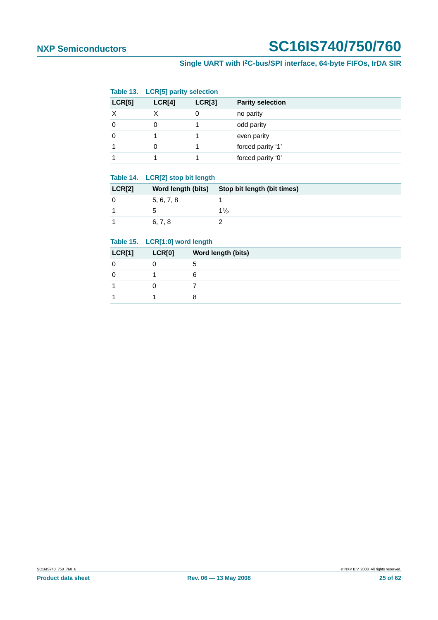|          | Table 13. LCR[5] parity selection |        |                         |
|----------|-----------------------------------|--------|-------------------------|
| LCR[5]   | LCR[4]                            | LCR[3] | <b>Parity selection</b> |
| $\times$ |                                   | 0      | no parity               |
| $\Omega$ |                                   |        | odd parity              |
| $\Omega$ |                                   |        | even parity             |
|          |                                   |        | forced parity '1'       |
|          |                                   |        | forced parity '0'       |

#### **Table 14. LCR[2] stop bit length**

| <b>LCR[2]</b> | Word length (bits) | Stop bit length (bit times) |
|---------------|--------------------|-----------------------------|
|               | 5, 6, 7, 8         |                             |
|               |                    | $1\%$                       |
|               | 6.7.8              |                             |

#### <span id="page-24-0"></span>**Table 15. LCR[1:0] word length**

| <b>LCR[1]</b> | <b>LCR[0]</b> | Word length (bits) |
|---------------|---------------|--------------------|
|               |               | ۰.                 |
|               |               | 6                  |
|               |               |                    |
|               |               |                    |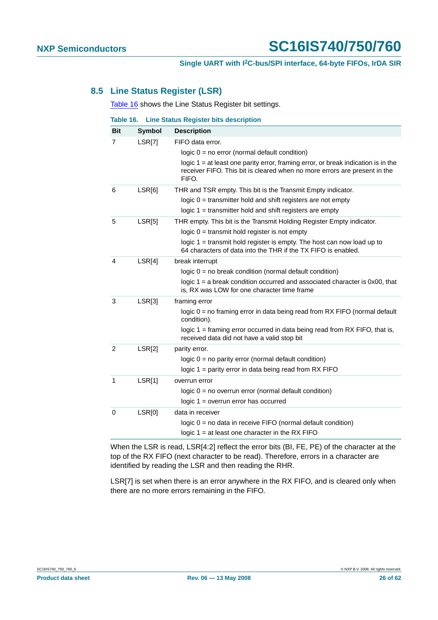#### <span id="page-25-1"></span>**8.5 Line Status Register (LSR)**

[Table](#page-25-0) 16 shows the Line Status Register bit settings.

<span id="page-25-0"></span>

| Table 16.      |               | <b>Line Status Register bits description</b>                                                                                                                              |
|----------------|---------------|---------------------------------------------------------------------------------------------------------------------------------------------------------------------------|
| <b>Bit</b>     | <b>Symbol</b> | <b>Description</b>                                                                                                                                                        |
| 7              | LSR[7]        | FIFO data error.                                                                                                                                                          |
|                |               | $logic 0 = no error (normal default condition)$                                                                                                                           |
|                |               | logic $1 = at$ least one parity error, framing error, or break indication is in the<br>receiver FIFO. This bit is cleared when no more errors are present in the<br>FIFO. |
| 6              | LSR[6]        | THR and TSR empty. This bit is the Transmit Empty indicator.                                                                                                              |
|                |               | logic $0 =$ transmitter hold and shift registers are not empty                                                                                                            |
|                |               | logic $1 =$ transmitter hold and shift registers are empty                                                                                                                |
| 5              | LSR[5]        | THR empty. This bit is the Transmit Holding Register Empty indicator.                                                                                                     |
|                |               | $logic 0 = transmit hold register is not empty$                                                                                                                           |
|                |               | logic $1 =$ transmit hold register is empty. The host can now load up to<br>64 characters of data into the THR if the TX FIFO is enabled.                                 |
| 4              | LSR[4]        | break interrupt                                                                                                                                                           |
|                |               | logic $0 = no$ break condition (normal default condition)                                                                                                                 |
|                |               | logic $1 = a$ break condition occurred and associated character is $0x00$ , that<br>is, RX was LOW for one character time frame                                           |
| 3              | LSR[3]        | framing error                                                                                                                                                             |
|                |               | $logic 0 = no framing error in data being read from RX FIFO (normal default)$<br>condition).                                                                              |
|                |               | logic 1 = framing error occurred in data being read from RX FIFO, that is,<br>received data did not have a valid stop bit                                                 |
| $\overline{2}$ | LSR[2]        | parity error.                                                                                                                                                             |
|                |               | $logic 0 = no parity error (normal default condition)$                                                                                                                    |
|                |               | logic 1 = parity error in data being read from RX FIFO                                                                                                                    |
| 1              | LSR[1]        | overrun error                                                                                                                                                             |
|                |               | $logic 0 = no overrun error (normal default condition)$                                                                                                                   |
|                |               | $logic 1 = overrun error has occurred$                                                                                                                                    |
| 0              | LSR[0]        | data in receiver                                                                                                                                                          |
|                |               | $logic 0 = no data in receive FIFO (normal default condition)$                                                                                                            |
|                |               | logic $1 = at$ least one character in the RX FIFO                                                                                                                         |

When the LSR is read, LSR[4:2] reflect the error bits (BI, FE, PE) of the character at the top of the RX FIFO (next character to be read). Therefore, errors in a character are identified by reading the LSR and then reading the RHR.

LSR[7] is set when there is an error anywhere in the RX FIFO, and is cleared only when there are no more errors remaining in the FIFO.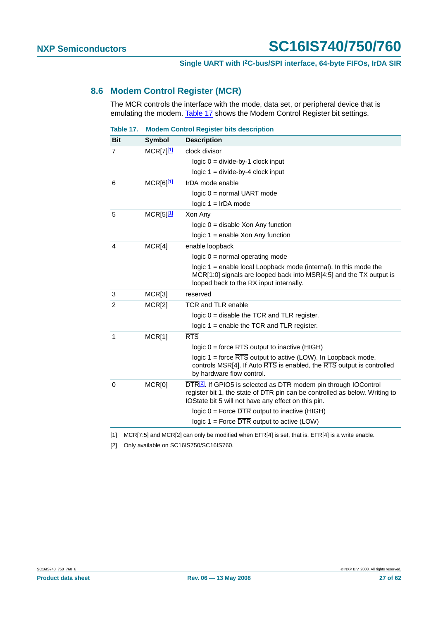### <span id="page-26-3"></span>**8.6 Modem Control Register (MCR)**

The MCR controls the interface with the mode, data set, or peripheral device that is emulating the modem. [Table](#page-26-2) 17 shows the Modem Control Register bit settings.

<span id="page-26-2"></span>

| Table 17.      | <b>Modem Control Register bits description</b> |                                                                                                                                                                                                                    |  |  |  |
|----------------|------------------------------------------------|--------------------------------------------------------------------------------------------------------------------------------------------------------------------------------------------------------------------|--|--|--|
| <b>Bit</b>     | <b>Symbol</b>                                  | <b>Description</b>                                                                                                                                                                                                 |  |  |  |
| $\overline{7}$ | $MCR[7]$ <sup>[1]</sup>                        | clock divisor                                                                                                                                                                                                      |  |  |  |
|                |                                                | $logic 0 = divide-by-1 clock input$                                                                                                                                                                                |  |  |  |
|                |                                                | $logic 1 = divide-by-4 clock input$                                                                                                                                                                                |  |  |  |
| 6              | $MCR[6]$ <sup>[1]</sup>                        | IrDA mode enable                                                                                                                                                                                                   |  |  |  |
|                |                                                | $logic 0 = normal UART mode$                                                                                                                                                                                       |  |  |  |
|                |                                                | $logic 1 = IrDA mode$                                                                                                                                                                                              |  |  |  |
| 5              | $MCR[5]^{[1]}$                                 | Xon Any                                                                                                                                                                                                            |  |  |  |
|                |                                                | $logic 0 = disable Xon Any function$                                                                                                                                                                               |  |  |  |
|                |                                                | logic $1$ = enable Xon Any function                                                                                                                                                                                |  |  |  |
| 4              | MCR[4]                                         | enable loopback                                                                                                                                                                                                    |  |  |  |
|                |                                                | $logic 0 = normal operating mode$                                                                                                                                                                                  |  |  |  |
|                |                                                | logic 1 = enable local Loopback mode (internal). In this mode the<br>MCR[1:0] signals are looped back into MSR[4:5] and the TX output is<br>looped back to the RX input internally.                                |  |  |  |
| 3              | MCR[3]                                         | reserved                                                                                                                                                                                                           |  |  |  |
| 2              | MCR[2]                                         | <b>TCR and TLR enable</b>                                                                                                                                                                                          |  |  |  |
|                |                                                | logic $0 =$ disable the TCR and TLR register.                                                                                                                                                                      |  |  |  |
|                |                                                | logic $1$ = enable the TCR and TLR register.                                                                                                                                                                       |  |  |  |
| 1              | MCR[1]                                         | <b>RTS</b>                                                                                                                                                                                                         |  |  |  |
|                |                                                | logic $0 =$ force $\overline{\text{RTS}}$ output to inactive (HIGH)                                                                                                                                                |  |  |  |
|                |                                                | logic $1 =$ force $\overline{RTS}$ output to active (LOW). In Loopback mode,<br>controls MSR[4]. If Auto RTS is enabled, the RTS output is controlled<br>by hardware flow control.                                 |  |  |  |
| 0              | MCR[0]                                         | DTR <sup>[2]</sup> . If GPIO5 is selected as DTR modem pin through IOControl<br>register bit 1, the state of DTR pin can be controlled as below. Writing to<br>IOState bit 5 will not have any effect on this pin. |  |  |  |
|                |                                                | logic $0 =$ Force $\overline{DTR}$ output to inactive (HIGH)                                                                                                                                                       |  |  |  |
|                |                                                | logic $1 =$ Force $\overline{DTR}$ output to active (LOW)                                                                                                                                                          |  |  |  |

<span id="page-26-0"></span>[1] MCR[7:5] and MCR[2] can only be modified when EFR[4] is set, that is, EFR[4] is a write enable.

<span id="page-26-1"></span>[2] Only available on SC16IS750/SC16IS760.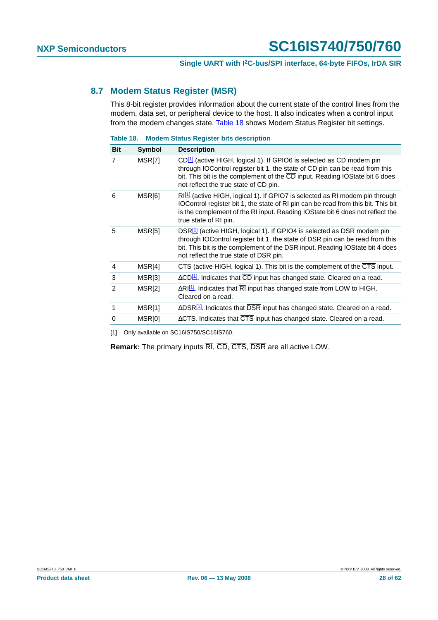#### <span id="page-27-2"></span>**8.7 Modem Status Register (MSR)**

This 8-bit register provides information about the current state of the control lines from the modem, data set, or peripheral device to the host. It also indicates when a control input from the modem changes state. [Table](#page-27-1) 18 shows Modem Status Register bit settings.

<span id="page-27-1"></span>**Table 18. Modem Status Register bits description**

| <b>Bit</b>     | <b>Symbol</b> | <b>Description</b>                                                                                                                                                                                                                                                                                   |
|----------------|---------------|------------------------------------------------------------------------------------------------------------------------------------------------------------------------------------------------------------------------------------------------------------------------------------------------------|
| $\overline{7}$ | MSR[7]        | CD <sup>[1]</sup> (active HIGH, logical 1). If GPIO6 is selected as CD modem pin<br>through IOControl register bit 1, the state of CD pin can be read from this<br>bit. This bit is the complement of the CD input. Reading IOState bit 6 does<br>not reflect the true state of CD pin.              |
| 6              | MSR[6]        | RI <sup>[1]</sup> (active HIGH, logical 1). If GPIO7 is selected as RI modem pin through<br>IOControl register bit 1, the state of RI pin can be read from this bit. This bit<br>is the complement of the $\overline{RI}$ input. Reading IOState bit 6 does not reflect the<br>true state of RI pin. |
| 5              | MSR[5]        | DSR <sup>[1]</sup> (active HIGH, logical 1). If GPIO4 is selected as DSR modem pin<br>through IOControl register bit 1, the state of DSR pin can be read from this<br>bit. This bit is the complement of the DSR input. Reading IOState bit 4 does<br>not reflect the true state of DSR pin.         |
| 4              | MSR[4]        | CTS (active HIGH, logical 1). This bit is the complement of the CTS input.                                                                                                                                                                                                                           |
| 3              | MSR[3]        | ∆CD <sup>[1]</sup> . Indicates that CD input has changed state. Cleared on a read.                                                                                                                                                                                                                   |
| 2              | MSR[2]        | $\Delta$ RI $\Omega$ . Indicates that RI input has changed state from LOW to HIGH.<br>Cleared on a read.                                                                                                                                                                                             |
| 1              | MSR[1]        | $\triangle$ DSR $\boxed{1}$ . Indicates that DSR input has changed state. Cleared on a read.                                                                                                                                                                                                         |
| 0              | MSR[0]        | $\Delta$ CTS. Indicates that CTS input has changed state. Cleared on a read.                                                                                                                                                                                                                         |
|                |               |                                                                                                                                                                                                                                                                                                      |

<span id="page-27-0"></span>[1] Only available on SC16IS750/SC16IS760.

**Remark:** The primary inputs RI, CD, CTS, DSR are all active LOW.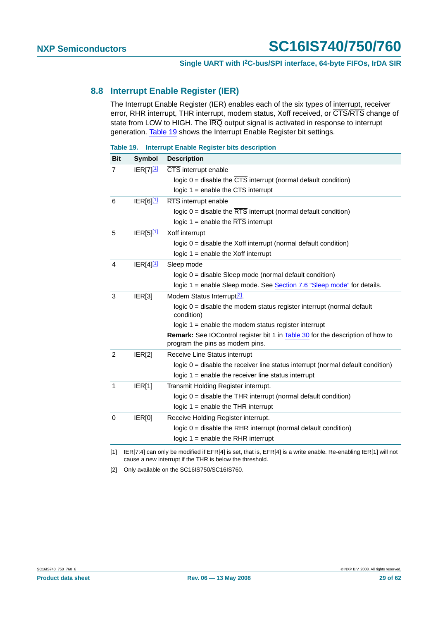#### <span id="page-28-3"></span>**8.8 Interrupt Enable Register (IER)**

The Interrupt Enable Register (IER) enables each of the six types of interrupt, receiver error, RHR interrupt, THR interrupt, modem status, Xoff received, or  $\overline{\text{CTS}}/\overline{\text{RTS}}$  change of state from LOW to HIGH. The  $\overline{\text{IRQ}}$  output signal is activated in response to interrupt generation. [Table](#page-28-2) 19 shows the Interrupt Enable Register bit settings.

<span id="page-28-2"></span>**Table 19. Interrupt Enable Register bits description**

| <b>Bit</b>     | <b>Symbol</b>           | <b>Description</b>                                                                                                |
|----------------|-------------------------|-------------------------------------------------------------------------------------------------------------------|
| 7              | $IER[7]$ <sup>[1]</sup> | CTS interrupt enable                                                                                              |
|                |                         | logic $0 =$ disable the $\overline{CTS}$ interrupt (normal default condition)                                     |
|                |                         | logic $1 =$ enable the $\overline{CTS}$ interrupt                                                                 |
| 6              | $IER[6]^{11}$           | RTS interrupt enable                                                                                              |
|                |                         | logic $0 =$ disable the $\overline{RTS}$ interrupt (normal default condition)                                     |
|                |                         | logic $1 =$ enable the $\overline{\text{RTS}}$ interrupt                                                          |
| 5              | $IER[5]$ <sup>[1]</sup> | Xoff interrupt                                                                                                    |
|                |                         | $logic 0$ = disable the Xoff interrupt (normal default condition)                                                 |
|                |                         | logic $1$ = enable the Xoff interrupt                                                                             |
| 4              | $ ER[4]^{11}$           | Sleep mode                                                                                                        |
|                |                         | logic 0 = disable Sleep mode (normal default condition)                                                           |
|                |                         | logic 1 = enable Sleep mode. See Section 7.6 "Sleep mode" for details.                                            |
| 3              | IER[3]                  | Modem Status Interrupt <sup>[2]</sup> .                                                                           |
|                |                         | logic $0 =$ disable the modem status register interrupt (normal default<br>condition)                             |
|                |                         | logic $1$ = enable the modem status register interrupt                                                            |
|                |                         | Remark: See IOControl register bit 1 in Table 30 for the description of how to<br>program the pins as modem pins. |
| $\overline{2}$ | IER[2]                  | Receive Line Status interrupt                                                                                     |
|                |                         | logic $0 =$ disable the receiver line status interrupt (normal default condition)                                 |
|                |                         | $logic 1 = enable the receiver line status interrupt$                                                             |
| $\mathbf{1}$   | IER[1]                  | Transmit Holding Register interrupt.                                                                              |
|                |                         | logic 0 = disable the THR interrupt (normal default condition)                                                    |
|                |                         | logic $1$ = enable the THR interrupt                                                                              |
| 0              | IER[0]                  | Receive Holding Register interrupt.                                                                               |
|                |                         | logic $0 =$ disable the RHR interrupt (normal default condition)                                                  |
|                |                         | logic $1$ = enable the RHR interrupt                                                                              |

<span id="page-28-0"></span>[1] IER[7:4] can only be modified if EFR[4] is set, that is, EFR[4] is a write enable. Re-enabling IER[1] will not cause a new interrupt if the THR is below the threshold.

<span id="page-28-1"></span>[2] Only available on the SC16IS750/SC16IS760.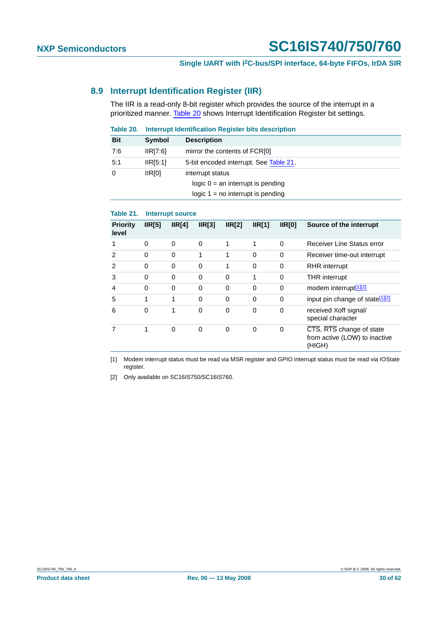### <span id="page-29-4"></span>**8.9 Interrupt Identification Register (IIR)**

The IIR is a read-only 8-bit register which provides the source of the interrupt in a prioritized manner. [Table](#page-29-3) 20 shows Interrupt Identification Register bit settings.

<span id="page-29-3"></span>

| Table 20.  | Interrupt Identification Register bits description |                                                                                                |  |  |
|------------|----------------------------------------------------|------------------------------------------------------------------------------------------------|--|--|
| <b>Bit</b> | <b>Symbol</b>                                      | <b>Description</b>                                                                             |  |  |
| 7:6        | IIR[7:6]                                           | mirror the contents of FCR[0]                                                                  |  |  |
| 5:1        | IIR[5:1]                                           | 5-bit encoded interrupt. See Table 21.                                                         |  |  |
| $\Omega$   | IR[0]                                              | interrupt status<br>logic $0 = an$ interrupt is pending<br>logic $1 = no$ interrupt is pending |  |  |

#### <span id="page-29-0"></span>**Table 21. Interrupt source**

| <b>Priority</b><br>level | IR[5]    | IR[4]    | IR[3]    | IR[2]    | IR[1]    | IR[0]    | Source of the interrupt                                             |
|--------------------------|----------|----------|----------|----------|----------|----------|---------------------------------------------------------------------|
|                          | 0        | $\Omega$ | $\Omega$ | 1        | 1        | $\Omega$ | Receiver Line Status error                                          |
| 2                        | 0        | $\Omega$ | 1        | 1        | $\Omega$ | 0        | Receiver time-out interrupt                                         |
| $\mathfrak{p}$           | $\Omega$ | $\Omega$ | $\Omega$ | 1        | $\Omega$ | 0        | <b>RHR</b> interrupt                                                |
| 3                        | $\Omega$ | 0        | $\Omega$ | $\Omega$ | 1        | 0        | <b>THR</b> interrupt                                                |
| 4                        | 0        | $\Omega$ | $\Omega$ | 0        | $\Omega$ | 0        | modem interrupt <sup>[1][2]</sup>                                   |
| 5                        | 1        | 1        | $\Omega$ | $\Omega$ | $\Omega$ | 0        | input pin change of state <sup>[1][2]</sup>                         |
| 6                        | 0        | 1        | $\Omega$ | 0        | 0        | 0        | received Xoff signal/<br>special character                          |
|                          | 1        | $\Omega$ | $\Omega$ | $\Omega$ | $\Omega$ | 0        | CTS, RTS change of state<br>from active (LOW) to inactive<br>(HIGH) |

<span id="page-29-1"></span>[1] Modem interrupt status must be read via MSR register and GPIO interrupt status must be read via IOState register.

<span id="page-29-2"></span>[2] Only available on SC16IS750/SC16IS760.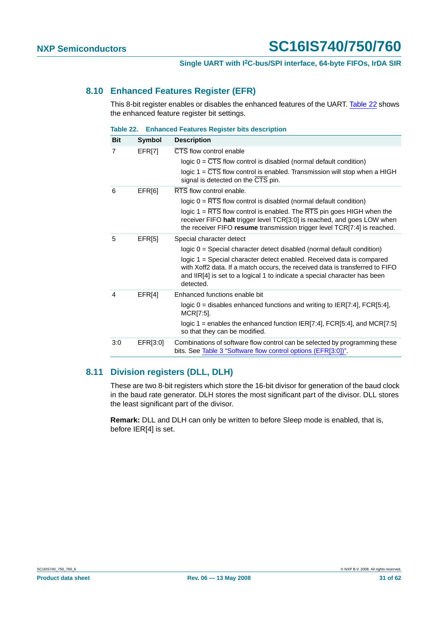#### <span id="page-30-1"></span>**8.10 Enhanced Features Register (EFR)**

This 8-bit register enables or disables the enhanced features of the UART. [Table](#page-30-0) 22 shows the enhanced feature register bit settings.

<span id="page-30-0"></span>**Table 22. Enhanced Features Register bits description**

| <b>Bit</b> | Symbol   | <b>Description</b>                                                                                                                                                                                                                                     |
|------------|----------|--------------------------------------------------------------------------------------------------------------------------------------------------------------------------------------------------------------------------------------------------------|
| 7          | EFR[7]   | CTS flow control enable                                                                                                                                                                                                                                |
|            |          | logic $0 = CTS$ flow control is disabled (normal default condition)                                                                                                                                                                                    |
|            |          | logic $1 = \overline{CTS}$ flow control is enabled. Transmission will stop when a HIGH<br>signal is detected on the CTS pin.                                                                                                                           |
| 6          | EFR[6]   | RTS flow control enable.                                                                                                                                                                                                                               |
|            |          | $logic 0 = RTS$ flow control is disabled (normal default condition)                                                                                                                                                                                    |
|            |          | logic $1 = \overline{RTS}$ flow control is enabled. The $\overline{RTS}$ pin goes HIGH when the<br>receiver FIFO halt trigger level TCR[3:0] is reached, and goes LOW when<br>the receiver FIFO resume transmission trigger level TCR[7:4] is reached. |
| 5          | EFR[5]   | Special character detect                                                                                                                                                                                                                               |
|            |          | logic 0 = Special character detect disabled (normal default condition)                                                                                                                                                                                 |
|            |          | logic 1 = Special character detect enabled. Received data is compared<br>with Xoff2 data. If a match occurs, the received data is transferred to FIFO<br>and IIR[4] is set to a logical 1 to indicate a special character has been<br>detected.        |
| 4          | EFR[4]   | Enhanced functions enable bit                                                                                                                                                                                                                          |
|            |          | logic $0 =$ disables enhanced functions and writing to IER[7:4], FCR[5:4],<br>MCR[7:5].                                                                                                                                                                |
|            |          | logic 1 = enables the enhanced function $IER[7:4]$ , $FCR[5:4]$ , and $MCR[7:5]$<br>so that they can be modified.                                                                                                                                      |
| 3:0        | EFR[3:0] | Combinations of software flow control can be selected by programming these<br>bits. See Table 3 "Software flow control options (EFR[3:0])".                                                                                                            |

### <span id="page-30-2"></span>**8.11 Division registers (DLL, DLH)**

These are two 8-bit registers which store the 16-bit divisor for generation of the baud clock in the baud rate generator. DLH stores the most significant part of the divisor. DLL stores the least significant part of the divisor.

**Remark:** DLL and DLH can only be written to before Sleep mode is enabled, that is, before IER[4] is set.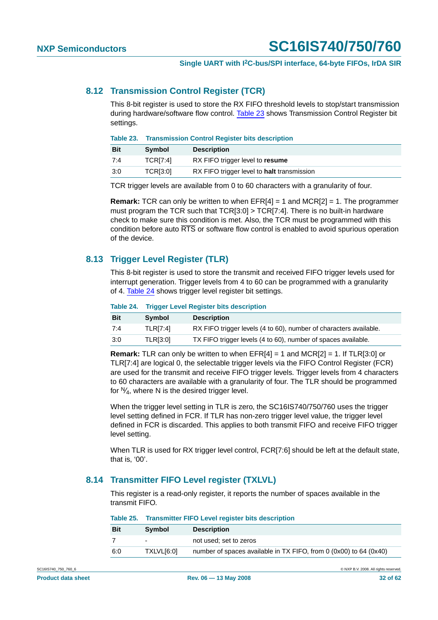#### <span id="page-31-2"></span>**8.12 Transmission Control Register (TCR)**

This 8-bit register is used to store the RX FIFO threshold levels to stop/start transmission during hardware/software flow control. [Table](#page-31-0) 23 shows Transmission Control Register bit settings.

<span id="page-31-0"></span>

| Table 23. Transmission Control Register bits description |
|----------------------------------------------------------|
|                                                          |

| <b>Bit</b> | Symbol          | <b>Description</b>                         |
|------------|-----------------|--------------------------------------------|
| 7:4        | <b>TCRI7:41</b> | RX FIFO trigger level to resume            |
| 3:0        | TCR[3:0]        | RX FIFO trigger level to halt transmission |

TCR trigger levels are available from 0 to 60 characters with a granularity of four.

**Remark:** TCR can only be written to when EFR[4] = 1 and MCR[2] = 1. The programmer must program the TCR such that TCR[3:0] > TCR[7:4]. There is no built-in hardware check to make sure this condition is met. Also, the TCR must be programmed with this condition before auto RTS or software flow control is enabled to avoid spurious operation of the device.

### <span id="page-31-3"></span>**8.13 Trigger Level Register (TLR)**

This 8-bit register is used to store the transmit and received FIFO trigger levels used for interrupt generation. Trigger levels from 4 to 60 can be programmed with a granularity of 4. [Table](#page-31-1) 24 shows trigger level register bit settings.

#### <span id="page-31-1"></span>**Table 24. Trigger Level Register bits description**

| <b>Bit</b> | <b>Symbol</b>   | <b>Description</b>                                                |
|------------|-----------------|-------------------------------------------------------------------|
| 7:4        | <b>TLRI7:41</b> | RX FIFO trigger levels (4 to 60), number of characters available. |
| 3:0        | <b>TLRI3:01</b> | TX FIFO trigger levels (4 to 60), number of spaces available.     |

**Remark:** TLR can only be written to when EFR[4] = 1 and MCR[2] = 1. If TLR[3:0] or TLR[7:4] are logical 0, the selectable trigger levels via the FIFO Control Register (FCR) are used for the transmit and receive FIFO trigger levels. Trigger levels from 4 characters to 60 characters are available with a granularity of four. The TLR should be programmed for  $\mathcal{N}_4$ , where N is the desired trigger level.

When the trigger level setting in TLR is zero, the SC16IS740/750/760 uses the trigger level setting defined in FCR. If TLR has non-zero trigger level value, the trigger level defined in FCR is discarded. This applies to both transmit FIFO and receive FIFO trigger level setting.

When TLR is used for RX trigger level control, FCR[7:6] should be left at the default state, that is, '00'.

### <span id="page-31-4"></span>**8.14 Transmitter FIFO Level register (TXLVL)**

This register is a read-only register, it reports the number of spaces available in the transmit FIFO.

|            | Table 25.    Transmitter FIFO Level register bits description |                                                                   |  |
|------------|---------------------------------------------------------------|-------------------------------------------------------------------|--|
| <b>Bit</b> | <b>Symbol</b>                                                 | <b>Description</b>                                                |  |
|            |                                                               | not used: set to zeros                                            |  |
| 6:0        | TXLVLI6:01                                                    | number of spaces available in TX FIFO, from 0 (0x00) to 64 (0x40) |  |

**Table 25. Transmitter FIFO Level register bits description**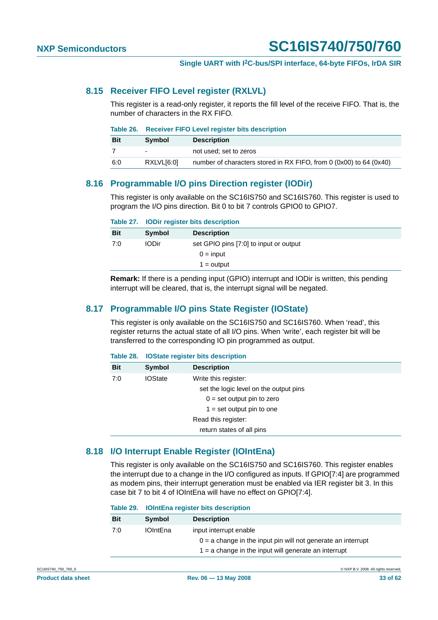#### <span id="page-32-0"></span>**8.15 Receiver FIFO Level register (RXLVL)**

This register is a read-only register, it reports the fill level of the receive FIFO. That is, the number of characters in the RX FIFO.

|            | Table 26. Receiver FIFO Level register bits description |                                                                    |  |
|------------|---------------------------------------------------------|--------------------------------------------------------------------|--|
| <b>Bit</b> | <b>Symbol</b>                                           | <b>Description</b>                                                 |  |
|            | $\overline{\phantom{0}}$                                | not used: set to zeros                                             |  |
| 6:0        | RXLVLI6:01                                              | number of characters stored in RX FIFO, from 0 (0x00) to 64 (0x40) |  |

#### <span id="page-32-1"></span>**8.16 Programmable I/O pins Direction register (IODir)**

This register is only available on the SC16IS750 and SC16IS760. This register is used to program the I/O pins direction. Bit 0 to bit 7 controls GPIO0 to GPIO7.

|  |  |  |  | Table 27. IODir register bits description |
|--|--|--|--|-------------------------------------------|
|--|--|--|--|-------------------------------------------|

| Symbol       | <b>Description</b>                     |
|--------------|----------------------------------------|
| <b>IODir</b> | set GPIO pins [7:0] to input or output |
|              | $0 = input$                            |
|              | $1 =$ output                           |
|              |                                        |

**Remark:** If there is a pending input (GPIO) interrupt and IODir is written, this pending interrupt will be cleared, that is, the interrupt signal will be negated.

#### <span id="page-32-2"></span>**8.17 Programmable I/O pins State Register (IOState)**

This register is only available on the SC16IS750 and SC16IS760. When 'read', this register returns the actual state of all I/O pins. When 'write', each register bit will be transferred to the corresponding IO pin programmed as output.

|  |  |  |  | Table 28. IOState register bits description |
|--|--|--|--|---------------------------------------------|
|--|--|--|--|---------------------------------------------|

| <b>Bit</b> | Symbol         | <b>Description</b>                     |
|------------|----------------|----------------------------------------|
| 7:0        | <b>IOState</b> | Write this register:                   |
|            |                | set the logic level on the output pins |
|            |                | $0 = set$ output pin to zero           |
|            |                | $1 = set$ output pin to one            |
|            |                | Read this register:                    |
|            |                | return states of all pins              |

### <span id="page-32-3"></span>**8.18 I/O Interrupt Enable Register (IOIntEna)**

This register is only available on the SC16IS750 and SC16IS760. This register enables the interrupt due to a change in the I/O configured as inputs. If GPIO[7:4] are programmed as modem pins, their interrupt generation must be enabled via IER register bit 3. In this case bit 7 to bit 4 of IOIntEna will have no effect on GPIO[7:4].

|  |  |  |  | Table 29. IOIntEna register bits description |
|--|--|--|--|----------------------------------------------|
|--|--|--|--|----------------------------------------------|

| <b>Bit</b> | Symbol          | <b>Description</b>                                                                       |
|------------|-----------------|------------------------------------------------------------------------------------------|
| 7:0        | <b>IOIntEna</b> | input interrupt enable<br>$0 = a$ change in the input pin will not generate an interrupt |
|            |                 | $1 = a$ change in the input will generate an interrupt                                   |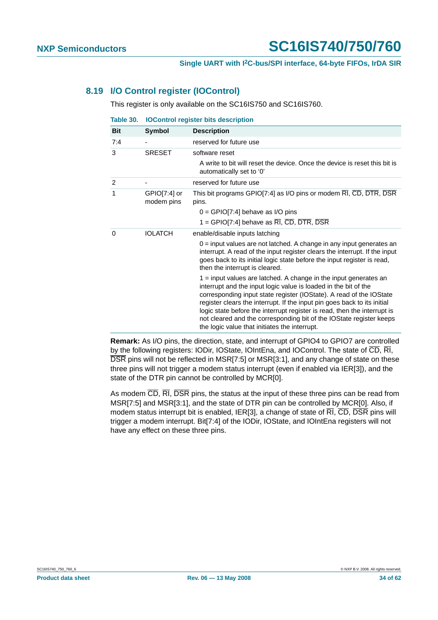#### <span id="page-33-1"></span>**8.19 I/O Control register (IOControl)**

This register is only available on the SC16IS750 and SC16IS760.

<span id="page-33-0"></span>

| Table 30.      | <b>IOControl register bits description</b> |                                                                                                                                                                                                                                                                                                                                                                                                                                                                                              |  |
|----------------|--------------------------------------------|----------------------------------------------------------------------------------------------------------------------------------------------------------------------------------------------------------------------------------------------------------------------------------------------------------------------------------------------------------------------------------------------------------------------------------------------------------------------------------------------|--|
| <b>Bit</b>     | Symbol                                     | <b>Description</b>                                                                                                                                                                                                                                                                                                                                                                                                                                                                           |  |
| 7:4            |                                            | reserved for future use                                                                                                                                                                                                                                                                                                                                                                                                                                                                      |  |
| 3              | <b>SRESET</b>                              | software reset                                                                                                                                                                                                                                                                                                                                                                                                                                                                               |  |
|                |                                            | A write to bit will reset the device. Once the device is reset this bit is<br>automatically set to '0'                                                                                                                                                                                                                                                                                                                                                                                       |  |
| $\overline{2}$ |                                            | reserved for future use                                                                                                                                                                                                                                                                                                                                                                                                                                                                      |  |
| 1              | $GPIO[7:4]$ or<br>modem pins               | This bit programs GPIO[7:4] as I/O pins or modem RI, CD, DTR, DSR<br>pins.                                                                                                                                                                                                                                                                                                                                                                                                                   |  |
|                |                                            | $0 =$ GPIO[7:4] behave as I/O pins                                                                                                                                                                                                                                                                                                                                                                                                                                                           |  |
|                |                                            | 1 = GPIO[7:4] behave as $\overline{RI}$ , $\overline{CD}$ , $\overline{DTR}$ , $\overline{DSR}$                                                                                                                                                                                                                                                                                                                                                                                              |  |
| 0              | <b>IOLATCH</b>                             | enable/disable inputs latching                                                                                                                                                                                                                                                                                                                                                                                                                                                               |  |
|                |                                            | $0 =$ input values are not latched. A change in any input generates an<br>interrupt. A read of the input register clears the interrupt. If the input<br>goes back to its initial logic state before the input register is read,<br>then the interrupt is cleared.                                                                                                                                                                                                                            |  |
|                |                                            | $1 =$ input values are latched. A change in the input generates an<br>interrupt and the input logic value is loaded in the bit of the<br>corresponding input state register (IOState). A read of the IOState<br>register clears the interrupt. If the input pin goes back to its initial<br>logic state before the interrupt register is read, then the interrupt is<br>not cleared and the corresponding bit of the IOState register keeps<br>the logic value that initiates the interrupt. |  |

**Remark:** As I/O pins, the direction, state, and interrupt of GPIO4 to GPIO7 are controlled by the following registers: IODir, IOState, IOIntEna, and IOControl. The state of  $\overline{CD}$ ,  $\overline{RI}$ , DSR pins will not be reflected in MSR[7:5] or MSR[3:1], and any change of state on these three pins will not trigger a modem status interrupt (even if enabled via IER[3]), and the state of the DTR pin cannot be controlled by MCR[0].

As modem  $\overline{CD}$ ,  $\overline{RI}$ ,  $\overline{DSR}$  pins, the status at the input of these three pins can be read from MSR[7:5] and MSR[3:1], and the state of DTR pin can be controlled by MCR[0]. Also, if modem status interrupt bit is enabled, IER[3], a change of state of  $\overline{RI}$ ,  $\overline{CD}$ ,  $\overline{DSR}$  pins will trigger a modem interrupt. Bit[7:4] of the IODir, IOState, and IOIntEna registers will not have any effect on these three pins.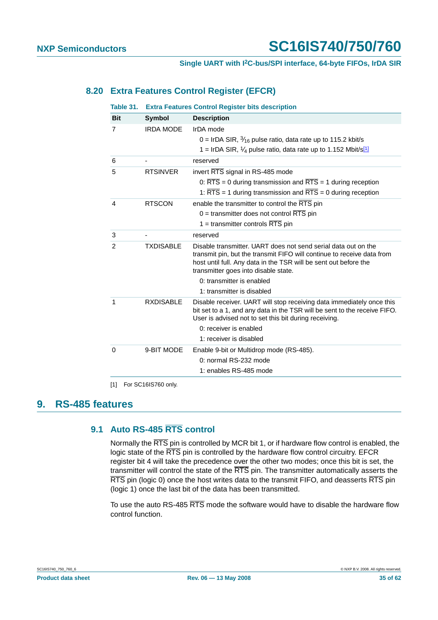### <span id="page-34-1"></span>**8.20 Extra Features Control Register (EFCR)**

| Table 31.      |                  | <b>Extra Features Control Register bits description</b>                                                                                                                                                                                                                           |
|----------------|------------------|-----------------------------------------------------------------------------------------------------------------------------------------------------------------------------------------------------------------------------------------------------------------------------------|
| <b>Bit</b>     | <b>Symbol</b>    | <b>Description</b>                                                                                                                                                                                                                                                                |
| 7              | <b>IRDA MODE</b> | IrDA mode<br>0 = IrDA SIR, $\frac{3}{16}$ pulse ratio, data rate up to 115.2 kbit/s<br>1 = IrDA SIR, $\frac{1}{4}$ pulse ratio, data rate up to 1.152 Mbit/s <sup>[1]</sup>                                                                                                       |
| 6              |                  | reserved                                                                                                                                                                                                                                                                          |
| 5              | <b>RTSINVER</b>  | invert RTS signal in RS-485 mode<br>0: $\overline{RTS}$ = 0 during transmission and $\overline{RTS}$ = 1 during reception<br>1: $\overline{\text{RTS}}$ = 1 during transmission and $\overline{\text{RTS}}$ = 0 during reception                                                  |
| 4              | <b>RTSCON</b>    | enable the transmitter to control the RTS pin<br>$0 =$ transmitter does not control RTS pin<br>1 = transmitter controls $\overline{RTS}$ pin                                                                                                                                      |
| 3              |                  | reserved                                                                                                                                                                                                                                                                          |
| $\overline{2}$ | <b>TXDISABLE</b> | Disable transmitter. UART does not send serial data out on the<br>transmit pin, but the transmit FIFO will continue to receive data from<br>host until full. Any data in the TSR will be sent out before the<br>transmitter goes into disable state.<br>0: transmitter is enabled |
|                |                  | 1: transmitter is disabled                                                                                                                                                                                                                                                        |
| 1              | <b>RXDISABLE</b> | Disable receiver. UART will stop receiving data immediately once this<br>bit set to a 1, and any data in the TSR will be sent to the receive FIFO.<br>User is advised not to set this bit during receiving.<br>0: receiver is enabled<br>1: receiver is disabled                  |
| $\Omega$       | 9-BIT MODE       | Enable 9-bit or Multidrop mode (RS-485).<br>0: normal RS-232 mode<br>1: enables RS-485 mode                                                                                                                                                                                       |

<span id="page-34-0"></span>[1] For SC16IS760 only.

### <span id="page-34-3"></span><span id="page-34-2"></span>**9. RS-485 features**

### **9.1 Auto RS-485 RTS control**

Normally the RTS pin is controlled by MCR bit 1, or if hardware flow control is enabled, the logic state of the RTS pin is controlled by the hardware flow control circuitry. EFCR register bit 4 will take the precedence over the other two modes; once this bit is set, the transmitter will control the state of the RTS pin. The transmitter automatically asserts the RTS pin (logic 0) once the host writes data to the transmit FIFO, and deasserts RTS pin (logic 1) once the last bit of the data has been transmitted.

To use the auto RS-485 RTS mode the software would have to disable the hardware flow control function.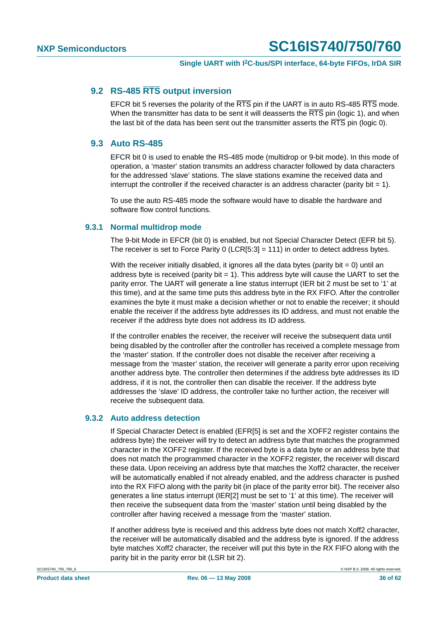#### <span id="page-35-0"></span>**9.2 RS-485 RTS output inversion**

EFCR bit 5 reverses the polarity of the RTS pin if the UART is in auto RS-485 RTS mode. When the transmitter has data to be sent it will deasserts the  $\overline{\text{RTS}}$  pin (logic 1), and when the last bit of the data has been sent out the transmitter asserts the  $\overline{\text{RTS}}$  pin (logic 0).

#### <span id="page-35-1"></span>**9.3 Auto RS-485**

EFCR bit 0 is used to enable the RS-485 mode (multidrop or 9-bit mode). In this mode of operation, a 'master' station transmits an address character followed by data characters for the addressed 'slave' stations. The slave stations examine the received data and interrupt the controller if the received character is an address character (parity bit  $= 1$ ).

To use the auto RS-485 mode the software would have to disable the hardware and software flow control functions.

#### <span id="page-35-2"></span>**9.3.1 Normal multidrop mode**

The 9-bit Mode in EFCR (bit 0) is enabled, but not Special Character Detect (EFR bit 5). The receiver is set to Force Parity 0 (LCR[5:3] = 111) in order to detect address bytes.

With the receiver initially disabled, it ignores all the data bytes (parity bit  $= 0$ ) until an address byte is received (parity bit  $= 1$ ). This address byte will cause the UART to set the parity error. The UART will generate a line status interrupt (IER bit 2 must be set to '1' at this time), and at the same time puts this address byte in the RX FIFO. After the controller examines the byte it must make a decision whether or not to enable the receiver; it should enable the receiver if the address byte addresses its ID address, and must not enable the receiver if the address byte does not address its ID address.

If the controller enables the receiver, the receiver will receive the subsequent data until being disabled by the controller after the controller has received a complete message from the 'master' station. If the controller does not disable the receiver after receiving a message from the 'master' station, the receiver will generate a parity error upon receiving another address byte. The controller then determines if the address byte addresses its ID address, if it is not, the controller then can disable the receiver. If the address byte addresses the 'slave' ID address, the controller take no further action, the receiver will receive the subsequent data.

#### <span id="page-35-3"></span>**9.3.2 Auto address detection**

If Special Character Detect is enabled (EFR[5] is set and the XOFF2 register contains the address byte) the receiver will try to detect an address byte that matches the programmed character in the XOFF2 register. If the received byte is a data byte or an address byte that does not match the programmed character in the XOFF2 register, the receiver will discard these data. Upon receiving an address byte that matches the Xoff2 character, the receiver will be automatically enabled if not already enabled, and the address character is pushed into the RX FIFO along with the parity bit (in place of the parity error bit). The receiver also generates a line status interrupt (IER[2] must be set to '1' at this time). The receiver will then receive the subsequent data from the 'master' station until being disabled by the controller after having received a message from the 'master' station.

If another address byte is received and this address byte does not match Xoff2 character, the receiver will be automatically disabled and the address byte is ignored. If the address byte matches Xoff2 character, the receiver will put this byte in the RX FIFO along with the parity bit in the parity error bit (LSR bit 2).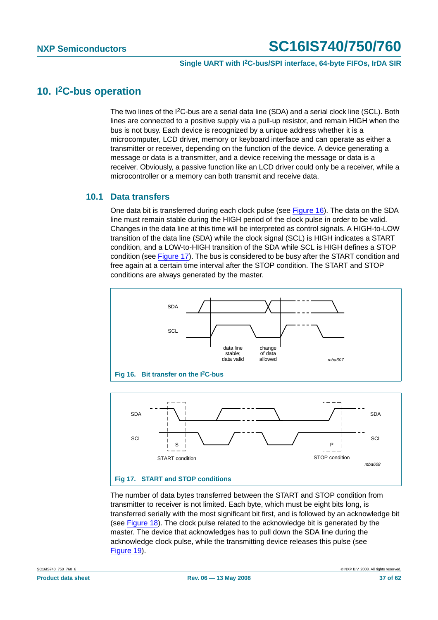## <span id="page-36-2"></span>**10. I2C-bus operation**

The two lines of the  $12C$ -bus are a serial data line (SDA) and a serial clock line (SCL). Both lines are connected to a positive supply via a pull-up resistor, and remain HIGH when the bus is not busy. Each device is recognized by a unique address whether it is a microcomputer, LCD driver, memory or keyboard interface and can operate as either a transmitter or receiver, depending on the function of the device. A device generating a message or data is a transmitter, and a device receiving the message or data is a receiver. Obviously, a passive function like an LCD driver could only be a receiver, while a microcontroller or a memory can both transmit and receive data.

#### <span id="page-36-3"></span>**10.1 Data transfers**

One data bit is transferred during each clock pulse (see [Figure](#page-36-0) 16). The data on the SDA line must remain stable during the HIGH period of the clock pulse in order to be valid. Changes in the data line at this time will be interpreted as control signals. A HIGH-to-LOW transition of the data line (SDA) while the clock signal (SCL) is HIGH indicates a START condition, and a LOW-to-HIGH transition of the SDA while SCL is HIGH defines a STOP condition (see [Figure](#page-36-1) 17). The bus is considered to be busy after the START condition and free again at a certain time interval after the STOP condition. The START and STOP conditions are always generated by the master.

<span id="page-36-0"></span>

<span id="page-36-1"></span>**Fig 17. START and STOP conditions**

START condition

The number of data bytes transferred between the START and STOP condition from transmitter to receiver is not limited. Each byte, which must be eight bits long, is transferred serially with the most significant bit first, and is followed by an acknowledge bit (see [Figure](#page-37-0) 18). The clock pulse related to the acknowledge bit is generated by the master. The device that acknowledges has to pull down the SDA line during the acknowledge clock pulse, while the transmitting device releases this pulse (see [Figure](#page-37-1) 19).

mba608

STOP condition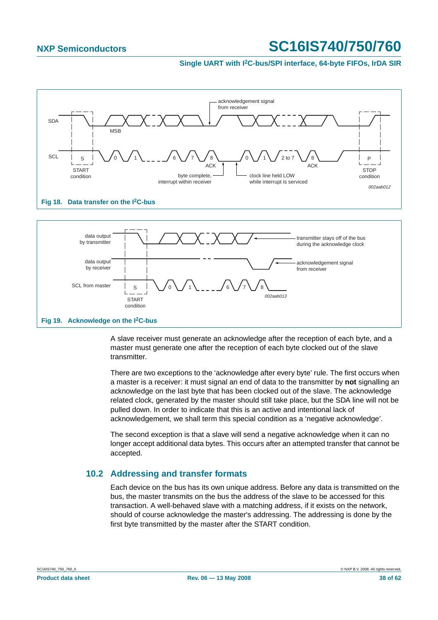#### **Single UART with I2C-bus/SPI interface, 64-byte FIFOs, IrDA SIR**



<span id="page-37-0"></span>

<span id="page-37-1"></span>A slave receiver must generate an acknowledge after the reception of each byte, and a master must generate one after the reception of each byte clocked out of the slave transmitter.

There are two exceptions to the 'acknowledge after every byte' rule. The first occurs when a master is a receiver: it must signal an end of data to the transmitter by **not** signalling an acknowledge on the last byte that has been clocked out of the slave. The acknowledge related clock, generated by the master should still take place, but the SDA line will not be pulled down. In order to indicate that this is an active and intentional lack of acknowledgement, we shall term this special condition as a 'negative acknowledge'.

The second exception is that a slave will send a negative acknowledge when it can no longer accept additional data bytes. This occurs after an attempted transfer that cannot be accepted.

### <span id="page-37-2"></span>**10.2 Addressing and transfer formats**

Each device on the bus has its own unique address. Before any data is transmitted on the bus, the master transmits on the bus the address of the slave to be accessed for this transaction. A well-behaved slave with a matching address, if it exists on the network, should of course acknowledge the master's addressing. The addressing is done by the first byte transmitted by the master after the START condition.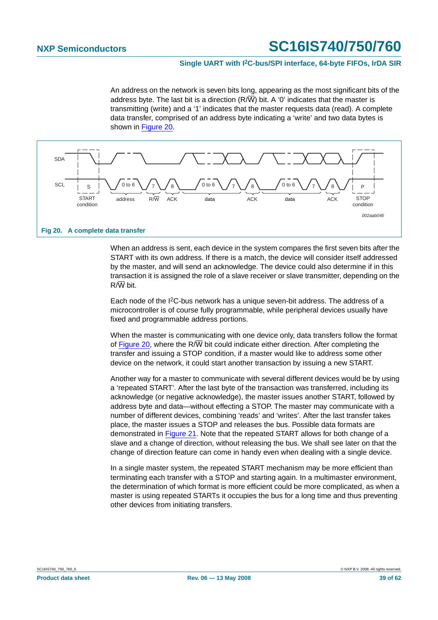#### **Single UART with I2C-bus/SPI interface, 64-byte FIFOs, IrDA SIR**

An address on the network is seven bits long, appearing as the most significant bits of the address byte. The last bit is a direction  $(R/\overline{W})$  bit. A '0' indicates that the master is transmitting (write) and a '1' indicates that the master requests data (read). A complete data transfer, comprised of an address byte indicating a 'write' and two data bytes is shown in [Figure](#page-38-0) 20.



<span id="page-38-0"></span>When an address is sent, each device in the system compares the first seven bits after the START with its own address. If there is a match, the device will consider itself addressed by the master, and will send an acknowledge. The device could also determine if in this transaction it is assigned the role of a slave receiver or slave transmitter, depending on the R/W bit.

Each node of the I2C-bus network has a unique seven-bit address. The address of a microcontroller is of course fully programmable, while peripheral devices usually have fixed and programmable address portions.

When the master is communicating with one device only, data transfers follow the format of [Figure](#page-38-0) 20, where the R $\sqrt{W}$  bit could indicate either direction. After completing the transfer and issuing a STOP condition, if a master would like to address some other device on the network, it could start another transaction by issuing a new START.

Another way for a master to communicate with several different devices would be by using a 'repeated START'. After the last byte of the transaction was transferred, including its acknowledge (or negative acknowledge), the master issues another START, followed by address byte and data—without effecting a STOP. The master may communicate with a number of different devices, combining 'reads' and 'writes'. After the last transfer takes place, the master issues a STOP and releases the bus. Possible data formats are demonstrated in [Figure](#page-39-0) 21. Note that the repeated START allows for both change of a slave and a change of direction, without releasing the bus. We shall see later on that the change of direction feature can come in handy even when dealing with a single device.

In a single master system, the repeated START mechanism may be more efficient than terminating each transfer with a STOP and starting again. In a multimaster environment, the determination of which format is more efficient could be more complicated, as when a master is using repeated STARTs it occupies the bus for a long time and thus preventing other devices from initiating transfers.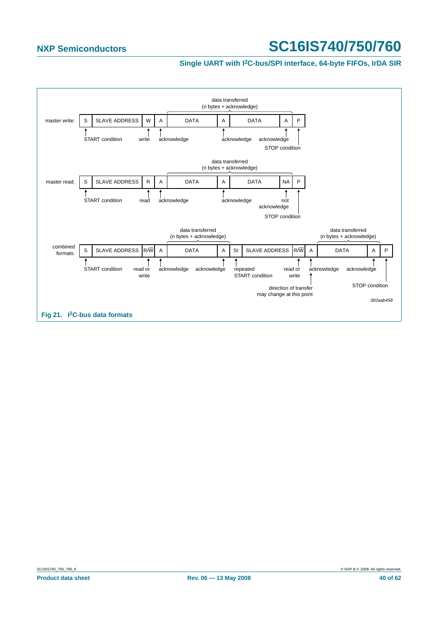#### **Single UART with I2C-bus/SPI interface, 64-byte FIFOs, IrDA SIR**

<span id="page-39-0"></span>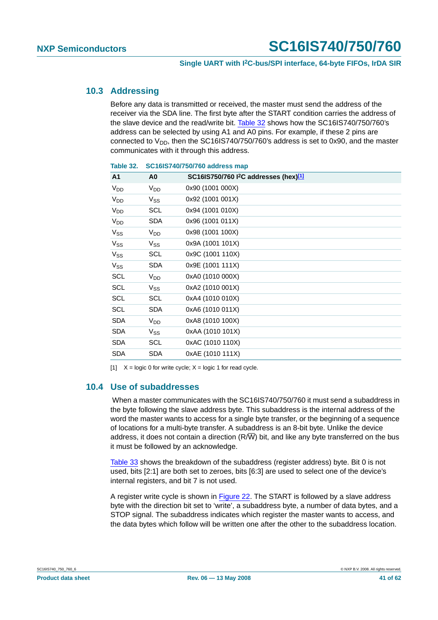#### <span id="page-40-2"></span>**10.3 Addressing**

Before any data is transmitted or received, the master must send the address of the receiver via the SDA line. The first byte after the START condition carries the address of the slave device and the read/write bit. [Table](#page-40-0) 32 shows how the SC16IS740/750/760's address can be selected by using A1 and A0 pins. For example, if these 2 pins are connected to  $V_{DD}$ , then the SC16IS740/750/760's address is set to 0x90, and the master communicates with it through this address.

| A <sub>1</sub>        | A <sub>0</sub>  | SC16IS750/760 $1^2$ C addresses (hex) $\frac{[1]}{[1]}$ |
|-----------------------|-----------------|---------------------------------------------------------|
| V <sub>DD</sub>       | V <sub>DD</sub> | 0x90 (1001 000X)                                        |
| <b>V<sub>DD</sub></b> | $V_{SS}$        | 0x92 (1001 001X)                                        |
| V <sub>DD</sub>       | SCL             | 0x94 (1001 010X)                                        |
| V <sub>DD</sub>       | <b>SDA</b>      | 0x96 (1001 011X)                                        |
| $V_{SS}$              | $V_{DD}$        | 0x98 (1001 100X)                                        |
| $V_{SS}$              | $V_{SS}$        | 0x9A (1001 101X)                                        |
| $V_{SS}$              | SCL             | 0x9C (1001 110X)                                        |
| $V_{SS}$              | <b>SDA</b>      | 0x9E (1001 111X)                                        |
| SCL                   | V <sub>DD</sub> | 0xA0 (1010 000X)                                        |
| SCL                   | $V_{SS}$        | 0xA2 (1010 001X)                                        |
| SCL                   | SCL             | 0xA4 (1010 010X)                                        |
| SCL                   | <b>SDA</b>      | 0xA6 (1010 011X)                                        |
| <b>SDA</b>            | V <sub>DD</sub> | 0xA8 (1010 100X)                                        |
| <b>SDA</b>            | $V_{SS}$        | 0xAA (1010 101X)                                        |
| <b>SDA</b>            | SCL             | 0xAC (1010 110X)                                        |
| <b>SDA</b>            | <b>SDA</b>      | 0xAE (1010 111X)                                        |
|                       |                 |                                                         |

<span id="page-40-0"></span>

| Table 32. | SC16IS740/750/760 address map |  |  |
|-----------|-------------------------------|--|--|
|-----------|-------------------------------|--|--|

<span id="page-40-1"></span>[1]  $X = \text{logic 0}$  for write cycle;  $X = \text{logic 1}$  for read cycle.

### <span id="page-40-3"></span>**10.4 Use of subaddresses**

When a master communicates with the SC16IS740/750/760 it must send a subaddress in the byte following the slave address byte. This subaddress is the internal address of the word the master wants to access for a single byte transfer, or the beginning of a sequence of locations for a multi-byte transfer. A subaddress is an 8-bit byte. Unlike the device address, it does not contain a direction (R/ $\overline{W}$ ) bit, and like any byte transferred on the bus it must be followed by an acknowledge.

[Table](#page-41-0) 33 shows the breakdown of the subaddress (register address) byte. Bit 0 is not used, bits [2:1] are both set to zeroes, bits [6:3] are used to select one of the device's internal registers, and bit 7 is not used.

A register write cycle is shown in [Figure](#page-41-1) 22. The START is followed by a slave address byte with the direction bit set to 'write', a subaddress byte, a number of data bytes, and a STOP signal. The subaddress indicates which register the master wants to access, and the data bytes which follow will be written one after the other to the subaddress location.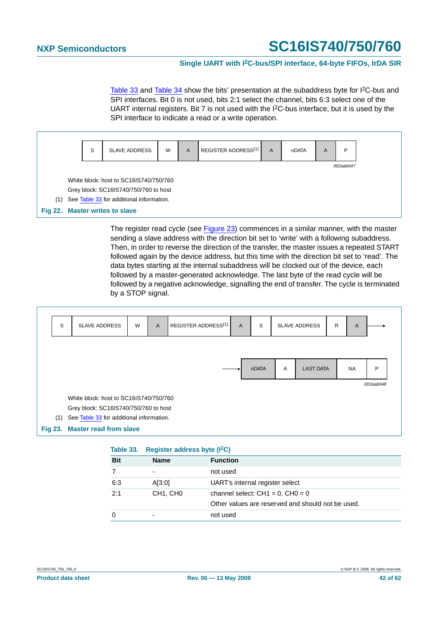#### **Single UART with I2C-bus/SPI interface, 64-byte FIFOs, IrDA SIR**

[Table](#page-43-0) 33 and Table 34 show the bits' presentation at the subaddress byte for  $12C$ -bus and SPI interfaces. Bit 0 is not used, bits 2:1 select the channel, bits 6:3 select one of the UART internal registers. Bit 7 is not used with the I2C-bus interface, but it is used by the SPI interface to indicate a read or a write operation.

<span id="page-41-1"></span>

The register read cycle (see [Figure](#page-41-2) 23) commences in a similar manner, with the master sending a slave address with the direction bit set to 'write' with a following subaddress. Then, in order to reverse the direction of the transfer, the master issues a repeated START followed again by the device address, but this time with the direction bit set to 'read'. The data bytes starting at the internal subaddress will be clocked out of the device, each followed by a master-generated acknowledge. The last byte of the read cycle will be followed by a negative acknowledge, signalling the end of transfer. The cycle is terminated by a STOP signal.



<span id="page-41-2"></span><span id="page-41-0"></span>

| Table 33.  | Register address byte $(I^2C)$    |                                                   |
|------------|-----------------------------------|---------------------------------------------------|
| <b>Bit</b> | <b>Name</b>                       | <b>Function</b>                                   |
|            | $\overline{\phantom{0}}$          | not used                                          |
| 6:3        | A[3:0]                            | UART's internal register select                   |
| 2:1        | CH <sub>1</sub> , CH <sub>0</sub> | channel select: $CH1 = 0$ , $CH0 = 0$             |
|            |                                   | Other values are reserved and should not be used. |
|            |                                   | not used                                          |
|            |                                   |                                                   |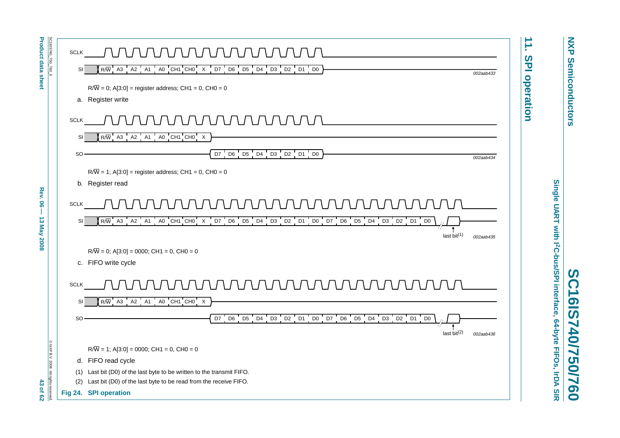

**NXP NXP Semiconductors Semiconductors** 

**SC16IS740/750/760**

<span id="page-42-2"></span><span id="page-42-1"></span><span id="page-42-0"></span>C16IS740/750/760

 $\boldsymbol{\omega}$ 

**Single UART with I2C-bus/SPI interface, 64-byte FIFOs, IrDA SIR**

Single UART with PC-bus/SPI interface, 64-byte FIFOs, IrDA SIR

<span id="page-42-3"></span>**Product data sheet Associated Rev. 06 — 13 May 2008**  $-$  **13**  $\overline{M}$  $\overline{M}$  $\overline{M}$  $\overline{S}$  $\overline{S}$  $\overline{S}$  $\overline{S}$  $\overline{S}$  $\overline{S}$  $\overline{S}$  $\overline{S}$  $\overline{S}$  $\overline{S}$  $\overline{S}$  $\overline{S}$  $\overline{S}$  $\overline{S}$  $\overline{S}$ Rev.  $\overline{8}$  $\overline{\phantom{a}}$ **13 May 2008** 

**Product data sheet** 

43 of 62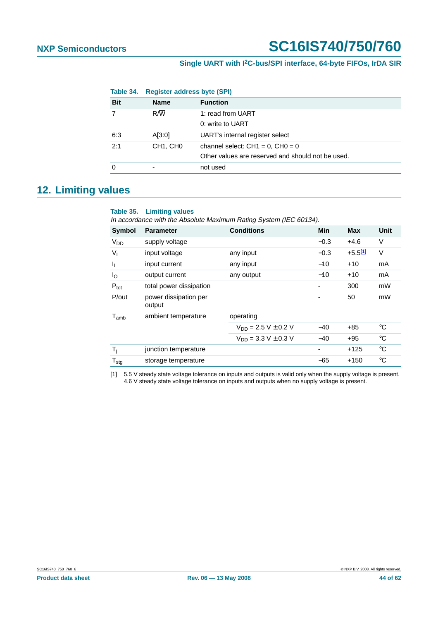<span id="page-43-0"></span>

| Table 34.  | <b>Register address byte (SPI)</b> |                                                   |
|------------|------------------------------------|---------------------------------------------------|
| <b>Bit</b> | <b>Name</b>                        | <b>Function</b>                                   |
|            | $R/\overline{W}$                   | 1: read from UART                                 |
|            |                                    | 0: write to UART                                  |
| 6:3        | A[3:0]                             | UART's internal register select                   |
| 2:1        | CH <sub>1</sub> , CH <sub>0</sub>  | channel select: $CH1 = 0$ , $CH0 = 0$             |
|            |                                    | Other values are reserved and should not be used. |
| 0          | ۰                                  | not used                                          |

### <span id="page-43-2"></span>**12. Limiting values**

#### **Table 35. Limiting values**

In accordance with the Absolute Maximum Rating System (IEC 60134).

| <b>Symbol</b>              | <b>Parameter</b>                | <b>Conditions</b>          | Min    | <b>Max</b>   | <b>Unit</b> |
|----------------------------|---------------------------------|----------------------------|--------|--------------|-------------|
| $V_{DD}$                   | supply voltage                  |                            | $-0.3$ | $+4.6$       | V           |
| $V_{I}$                    | input voltage                   | any input                  | $-0.3$ | $+5.5^{[1]}$ | V           |
| <b>I</b> <sub>I</sub>      | input current                   | any input                  | $-10$  | $+10$        | mA          |
| $I_{\rm O}$                | output current                  | any output                 | $-10$  | $+10$        | mA          |
| $P_{\text{tot}}$           | total power dissipation         |                            |        | 300          | mW          |
| P/out                      | power dissipation per<br>output |                            |        | 50           | mW          |
| $T_{amb}$                  | ambient temperature             | operating                  |        |              |             |
|                            |                                 | $V_{DD} = 2.5 V \pm 0.2 V$ | $-40$  | $+85$        | °C          |
|                            |                                 | $V_{DD} = 3.3 V \pm 0.3 V$ | $-40$  | $+95$        | $^{\circ}C$ |
| $T_i$                      | junction temperature            |                            | ٠      | $+125$       | $^{\circ}C$ |
| ${\mathsf T}_{\text{stg}}$ | storage temperature             |                            | $-65$  | $+150$       | °C          |

<span id="page-43-1"></span>[1] 5.5 V steady state voltage tolerance on inputs and outputs is valid only when the supply voltage is present. 4.6 V steady state voltage tolerance on inputs and outputs when no supply voltage is present.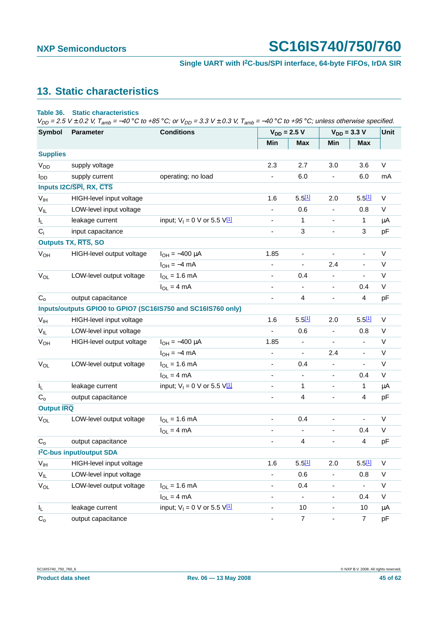#### **Single UART with I2C-bus/SPI interface, 64-byte FIFOs, IrDA SIR**

# <span id="page-44-0"></span>**13. Static characteristics**

#### **Table 36. Static characteristics**

 $V_{DD} = 2.5$  V ± 0.2 V,  $T_{amb} = -40$  °C to +85 °C; or  $V_{DD} = 3.3$  V ± 0.3 V,  $T_{amb} = -40$  °C to +95 °C; unless otherwise specified.

| <b>Symbol</b>           | <b>Conditions</b><br>Parameter        |                                                              |                          | $V_{DD} = 2.5 V$             | $V_{DD} = 3.3 V$         | Unit                     |             |
|-------------------------|---------------------------------------|--------------------------------------------------------------|--------------------------|------------------------------|--------------------------|--------------------------|-------------|
|                         |                                       |                                                              | Min                      | <b>Max</b>                   | Min                      | <b>Max</b>               |             |
| <b>Supplies</b>         |                                       |                                                              |                          |                              |                          |                          |             |
| <b>V<sub>DD</sub></b>   | supply voltage                        |                                                              | 2.3                      | 2.7                          | 3.0                      | 3.6                      | V           |
| l <sub>DD</sub>         | supply current                        | operating; no load                                           | $\overline{\phantom{a}}$ | 6.0                          | $\overline{\phantom{a}}$ | 6.0                      | mA          |
|                         | Inputs I2C/SPI, RX, CTS               |                                                              |                          |                              |                          |                          |             |
| V <sub>IH</sub>         | HIGH-level input voltage              |                                                              | 1.6                      | $5.5^{[1]}$                  | 2.0                      | $5.5^{[1]}$              | V           |
| $V_{IL}$                | LOW-level input voltage               |                                                              | $\overline{\phantom{0}}$ | 0.6                          | $\overline{\phantom{a}}$ | 0.8                      | V           |
| IL.                     | leakage current                       | input; $V_1 = 0$ V or 5.5 $V_1$                              | $\overline{\phantom{a}}$ | 1                            | ٠                        | 1                        | μA          |
| $C_i$                   | input capacitance                     |                                                              | $\blacksquare$           | 3                            | $\overline{\phantom{a}}$ | 3                        | pF          |
|                         | <b>Outputs TX, RTS, SO</b>            |                                                              |                          |                              |                          |                          |             |
| <b>V<sub>OH</sub></b>   | HIGH-level output voltage             | $I_{OH} = -400 \mu A$                                        | 1.85                     | $\qquad \qquad \blacksquare$ | $\overline{\phantom{a}}$ | ÷,                       | V           |
|                         |                                       | $I_{OH} = -4$ mA                                             | $\overline{\phantom{a}}$ | $\blacksquare$               | 2.4                      | ۰                        | V           |
| $V_{OL}$                | LOW-level output voltage              | $I_{OL} = 1.6$ mA                                            | $\overline{\phantom{a}}$ | 0.4                          | $\overline{\phantom{a}}$ | $\overline{\phantom{a}}$ | $\mathsf V$ |
|                         |                                       | $I_{OL} = 4 mA$                                              | $\overline{\phantom{a}}$ | $\overline{\phantom{a}}$     | $\overline{\phantom{a}}$ | 0.4                      | $\vee$      |
| C <sub>o</sub>          | output capacitance                    |                                                              | -                        | 4                            | $\overline{\phantom{0}}$ | $\overline{4}$           | pF          |
|                         |                                       | Inputs/outputs GPIO0 to GPIO7 (SC16IS750 and SC16IS760 only) |                          |                              |                          |                          |             |
| V <sub>IH</sub>         | HIGH-level input voltage              |                                                              | 1.6                      | 5.511                        | 2.0                      | 5.511                    | V           |
| $V_{IL}$                | LOW-level input voltage               |                                                              | $\overline{\phantom{a}}$ | 0.6                          | $\overline{\phantom{a}}$ | 0.8                      | V           |
| <b>V<sub>OH</sub></b>   | HIGH-level output voltage             | $I_{OH} = -400 \mu A$                                        | 1.85                     | $\qquad \qquad \blacksquare$ | $\overline{\phantom{a}}$ | $\overline{\phantom{a}}$ | V           |
|                         |                                       | $I_{OH} = -4$ mA                                             | $\overline{\phantom{a}}$ | $\overline{\phantom{a}}$     | 2.4                      | ۰                        | V           |
| $V_{OL}$                | LOW-level output voltage              | $I_{OL} = 1.6$ mA                                            | $\overline{\phantom{a}}$ | 0.4                          | $\overline{\phantom{a}}$ | $\blacksquare$           | $\mathsf V$ |
|                         |                                       | $I_{OL} = 4 mA$                                              | $\overline{\phantom{a}}$ | $\overline{\phantom{a}}$     | $\overline{\phantom{a}}$ | 0.4                      | V           |
| I <sub>L</sub>          | leakage current                       | input; $V_1 = 0$ V or 5.5 $V_1$                              | $\overline{\phantom{a}}$ | 1                            | $\overline{\phantom{0}}$ | 1                        | $\mu$ A     |
| $C_{o}$                 | output capacitance                    |                                                              | $\overline{\phantom{a}}$ | 4                            | ä,                       | $\overline{4}$           | pF          |
| <b>Output IRQ</b>       |                                       |                                                              |                          |                              |                          |                          |             |
| $V_{OL}$                | LOW-level output voltage              | $I_{OL} = 1.6$ mA                                            | $\overline{\phantom{a}}$ | 0.4                          | $\overline{\phantom{a}}$ | $\blacksquare$           | V           |
|                         |                                       | $I_{OL} = 4 mA$                                              | $\overline{\phantom{a}}$ | $\overline{\phantom{0}}$     | $\overline{\phantom{a}}$ | 0.4                      | V           |
| $C_{o}$                 | output capacitance                    |                                                              | -                        | 4                            | ٠                        | $\overline{4}$           | pF          |
|                         | I <sup>2</sup> C-bus input/output SDA |                                                              |                          |                              |                          |                          |             |
| $V_{IH}$                | HIGH-level input voltage              |                                                              | 1.6                      | 5.511                        | 2.0                      | $5.5^{[1]}$              | $\vee$      |
| $V_{IL}$                | LOW-level input voltage               |                                                              | ÷                        | 0.6                          | $\overline{\phantom{a}}$ | 0.8                      | V           |
| $V_{OL}$                | LOW-level output voltage              | $I_{OL} = 1.6$ mA                                            | -                        | 0.4                          | $\overline{\phantom{0}}$ | $\overline{a}$           | $\mathsf V$ |
|                         |                                       | $I_{OL} = 4 mA$                                              | $\overline{\phantom{a}}$ | $\overline{\phantom{0}}$     | $\overline{\phantom{0}}$ | 0.4                      | V           |
| $\mathsf{I}_\mathsf{L}$ | leakage current                       | input; $V_1 = 0$ V or 5.5 $V_1$                              | $\overline{\phantom{a}}$ | 10                           | $\frac{1}{2}$            | 10                       | μA          |
| $\mathrm{C}_\mathrm{o}$ | output capacitance                    |                                                              | -                        | $\overline{7}$               | $\overline{\phantom{0}}$ | $\overline{7}$           | pF          |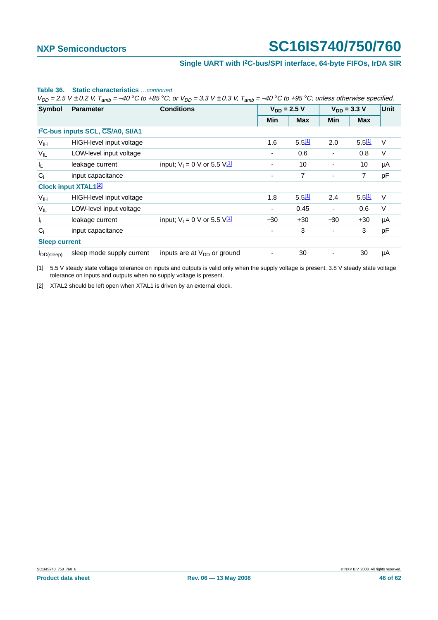#### **Single UART with I2C-bus/SPI interface, 64-byte FIFOs, IrDA SIR**

| <b>Static characteristics</b> continued<br>Table 36.<br>$V_{DD}$ = 2.5 V $\pm$ 0.2 V, T <sub>amb</sub> = –40 °C to +85 °C; or $V_{DD}$ = 3.3 V $\pm$ 0.3 V, T <sub>amb</sub> = –40 °C to +95 °C; unless otherwise specified. |                                               |                                   |                  |                      |                          |             |        |  |  |  |
|------------------------------------------------------------------------------------------------------------------------------------------------------------------------------------------------------------------------------|-----------------------------------------------|-----------------------------------|------------------|----------------------|--------------------------|-------------|--------|--|--|--|
| Symbol                                                                                                                                                                                                                       | <b>Parameter</b>                              | <b>Conditions</b>                 | $V_{DD} = 2.5 V$ |                      | $V_{DD} = 3.3 V$         | Unit        |        |  |  |  |
|                                                                                                                                                                                                                              |                                               |                                   | Min              | <b>Max</b>           | Min                      | <b>Max</b>  |        |  |  |  |
|                                                                                                                                                                                                                              | 1 <sup>2</sup> C-bus inputs SCL, CS/A0, SI/A1 |                                   |                  |                      |                          |             |        |  |  |  |
| V <sub>IH</sub>                                                                                                                                                                                                              | HIGH-level input voltage                      |                                   | 1.6              | 5.511                | 2.0                      | $5.5^{[1]}$ | $\vee$ |  |  |  |
| $V_{IL}$                                                                                                                                                                                                                     | LOW-level input voltage                       |                                   | ٠                | 0.6                  | $\overline{\phantom{a}}$ | 0.8         | $\vee$ |  |  |  |
| I <sub>L</sub>                                                                                                                                                                                                               | leakage current                               | input; $V_1 = 0$ V or 5.5 $V_1^1$ | ۰                | 10                   |                          | 10          | μA     |  |  |  |
| $C_i$                                                                                                                                                                                                                        | input capacitance                             |                                   |                  | $\overline{7}$       | $\overline{\phantom{a}}$ | 7           | pF     |  |  |  |
|                                                                                                                                                                                                                              | <b>Clock input XTAL1<sup>[2]</sup></b>        |                                   |                  |                      |                          |             |        |  |  |  |
| V <sub>IH</sub>                                                                                                                                                                                                              | HIGH-level input voltage                      |                                   | 1.8              | $5.5$ <sup>[1]</sup> | 2.4                      | 5.511       | V      |  |  |  |
| $V_{IL}$                                                                                                                                                                                                                     | LOW-level input voltage                       |                                   |                  | 0.45                 | $\blacksquare$           | 0.6         | $\vee$ |  |  |  |
| ΙL.                                                                                                                                                                                                                          | leakage current                               | input; $V_1 = 0$ V or 5.5 $V_1$   | $-30$            | $+30$                | $-30$                    | $+30$       | μA     |  |  |  |
| $C_i$                                                                                                                                                                                                                        | input capacitance                             |                                   |                  | 3                    | $\overline{\phantom{a}}$ | 3           | pF     |  |  |  |
| <b>Sleep current</b>                                                                                                                                                                                                         |                                               |                                   |                  |                      |                          |             |        |  |  |  |
| $I_{DD(sleep)}$                                                                                                                                                                                                              | sleep mode supply current                     | inputs are at $V_{DD}$ or ground  | ٠                | 30                   |                          | 30          | μA     |  |  |  |

<span id="page-45-0"></span>[1] 5.5 V steady state voltage tolerance on inputs and outputs is valid only when the supply voltage is present. 3.8 V steady state voltage tolerance on inputs and outputs when no supply voltage is present.

<span id="page-45-1"></span>[2] XTAL2 should be left open when XTAL1 is driven by an external clock.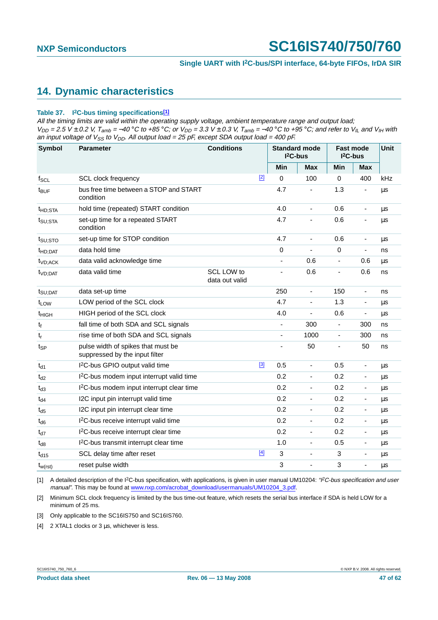## <span id="page-46-5"></span>**14. Dynamic characteristics**

#### <span id="page-46-4"></span>**Table 37. I2C-bus timing specifications[\[1\]](#page-46-0)**

All the timing limits are valid within the operating supply voltage, ambient temperature range and output load;  $V_{DD}$  = 2.5 V ± 0.2 V, T<sub>amb</sub> = −40 °C to +85 °C; or V<sub>DD</sub> = 3.3 V ± 0.3 V, T<sub>amb</sub> = −40 °C to +95 °C; and refer to V<sub>IL</sub> and V<sub>IH</sub> with an input voltage of  $V_{SS}$  to  $V_{DD}$ . All output load = 25 pF, except SDA output load = 400 pF.

| <b>Symbol</b>       | <b>Parameter</b>                                                     | <b>Conditions</b>            |       | <b>Standard mode</b><br>$I2C-bus$ |                              | <b>Fast mode</b><br>$I2C-bus$ |                              | Unit |
|---------------------|----------------------------------------------------------------------|------------------------------|-------|-----------------------------------|------------------------------|-------------------------------|------------------------------|------|
|                     |                                                                      |                              |       | Min                               | Max                          | Min                           | <b>Max</b>                   |      |
| $f_{SCL}$           | <b>SCL clock frequency</b>                                           |                              | $[2]$ | $\mathbf 0$                       | 100                          | 0                             | 400                          | kHz  |
| $t_{\text{BUF}}$    | bus free time between a STOP and START<br>condition                  |                              |       | 4.7                               |                              | 1.3                           | ÷,                           | μs   |
| t <sub>HD;STA</sub> | hold time (repeated) START condition                                 |                              |       | 4.0                               | $\frac{1}{2}$                | 0.6                           | $\overline{\phantom{a}}$     | μs   |
| t <sub>SU;STA</sub> | set-up time for a repeated START<br>condition                        |                              |       | 4.7                               | ÷                            | 0.6                           |                              | μs   |
| $t_{\text{SU;STO}}$ | set-up time for STOP condition                                       |                              |       | 4.7                               | $\frac{1}{2}$                | 0.6                           | $\overline{\phantom{a}}$     | μs   |
| <sup>t</sup> HD:DAT | data hold time                                                       |                              |       | 0                                 |                              | $\mathbf 0$                   | $\blacksquare$               | ns   |
| t <sub>VD:ACK</sub> | data valid acknowledge time                                          |                              |       | ÷,                                | 0.6                          | $\overline{\phantom{a}}$      | 0.6                          | μs   |
| t <sub>VD;DAT</sub> | data valid time                                                      | SCL LOW to<br>data out valid |       |                                   | 0.6                          | ä,                            | 0.6                          | ns   |
| t <sub>SU;DAT</sub> | data set-up time                                                     |                              |       | 250                               | $\overline{\phantom{0}}$     | 150                           | $\overline{\phantom{a}}$     | ns   |
| t <sub>LOW</sub>    | LOW period of the SCL clock                                          |                              |       | 4.7                               | $\overline{\phantom{0}}$     | 1.3                           | $\overline{\phantom{a}}$     | μs   |
| t <sub>HIGH</sub>   | HIGH period of the SCL clock                                         |                              |       | 4.0                               | ÷,                           | 0.6                           | $\overline{\phantom{a}}$     | μs   |
| $t_f$               | fall time of both SDA and SCL signals                                |                              |       | $\overline{\phantom{0}}$          | 300                          | $\blacksquare$                | 300                          | ns   |
| $t_r$               | rise time of both SDA and SCL signals                                |                              |       | ÷,                                | 1000                         | $\overline{\phantom{a}}$      | 300                          | ns   |
| tsp                 | pulse width of spikes that must be<br>suppressed by the input filter |                              |       |                                   | 50                           | ٠                             | 50                           | ns   |
| $t_{d1}$            | I <sup>2</sup> C-bus GPIO output valid time                          |                              | $[3]$ | 0.5                               | ä,                           | 0.5                           | $\qquad \qquad \blacksquare$ | μs   |
| $t_{d2}$            | I <sup>2</sup> C-bus modem input interrupt valid time                |                              |       | 0.2                               | $\qquad \qquad \blacksquare$ | 0.2                           | $\overline{\phantom{a}}$     | μs   |
| $t_{d3}$            | I <sup>2</sup> C-bus modem input interrupt clear time                |                              |       | 0.2                               | $\overline{\phantom{0}}$     | 0.2                           | $\overline{\phantom{a}}$     | μs   |
| $t_{d4}$            | I2C input pin interrupt valid time                                   |                              |       | 0.2                               | $\overline{\phantom{0}}$     | 0.2                           | $\blacksquare$               | μs   |
| $t_{d5}$            | I2C input pin interrupt clear time                                   |                              |       | 0.2                               | $\overline{\phantom{0}}$     | 0.2                           | $\overline{\phantom{a}}$     | μs   |
| $t_{d6}$            | I <sup>2</sup> C-bus receive interrupt valid time                    |                              |       | 0.2                               | $\overline{\phantom{0}}$     | 0.2                           | $\overline{\phantom{a}}$     | μs   |
| $t_{d7}$            | I <sup>2</sup> C-bus receive interrupt clear time                    |                              |       | 0.2                               | $\overline{\phantom{a}}$     | 0.2                           | $\overline{\phantom{a}}$     | μs   |
| $t_{d8}$            | I <sup>2</sup> C-bus transmit interrupt clear time                   |                              |       | 1.0                               | $\overline{\phantom{a}}$     | 0.5                           | $\blacksquare$               | μs   |
| $t_{d15}$           | SCL delay time after reset                                           |                              | $[4]$ | 3                                 | ÷,                           | 3                             | $\overline{\phantom{a}}$     | μs   |
| $t_{w(rst)}$        | reset pulse width                                                    |                              |       | 3                                 |                              | 3                             | ÷,                           | μs   |

<span id="page-46-0"></span>[1] A detailed description of the I<sup>2</sup>C-bus specification, with applications, is given in user manual UM10204: "*PC-bus specification and user* manual". This may be found at [www.nxp.com/acrobat\\_download/usermanuals/UM10204\\_3.pdf.](http://www.nxp.com/acrobat_download/usermanuals/UM10204_3.pdf)

<span id="page-46-1"></span>[2] Minimum SCL clock frequency is limited by the bus time-out feature, which resets the serial bus interface if SDA is held LOW for a minimum of 25 ms.

<span id="page-46-2"></span>[3] Only applicable to the SC16IS750 and SC16IS760.

<span id="page-46-3"></span>[4] 2 XTAL1 clocks or 3 us, whichever is less.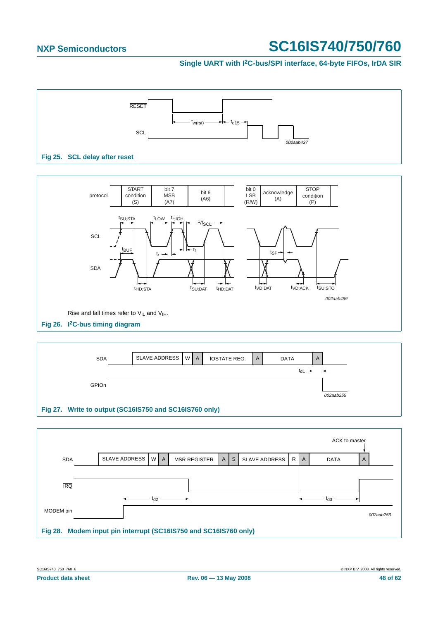#### **Single UART with I2C-bus/SPI interface, 64-byte FIFOs, IrDA SIR**



<span id="page-47-0"></span>



|                                                                  |               |                 |                     |              |              |               |                 |              | ACK to master |           |
|------------------------------------------------------------------|---------------|-----------------|---------------------|--------------|--------------|---------------|-----------------|--------------|---------------|-----------|
| <b>SDA</b>                                                       | SLAVE ADDRESS | WA              | <b>MSR REGISTER</b> | $\mathsf{A}$ | <sub>S</sub> | SLAVE ADDRESS | IR <sub>1</sub> | $\mathsf{A}$ | <b>DATA</b>   | A         |
|                                                                  |               |                 |                     |              |              |               |                 |              |               |           |
| <b>IRQ</b>                                                       |               |                 |                     |              |              |               |                 |              |               |           |
|                                                                  |               | t <sub>d2</sub> |                     |              |              |               |                 |              | tаз           |           |
| MODEM pin                                                        |               |                 |                     |              |              |               |                 |              |               | 002aab256 |
| Fig 28. Modem input pin interrupt (SC16IS750 and SC16IS760 only) |               |                 |                     |              |              |               |                 |              |               |           |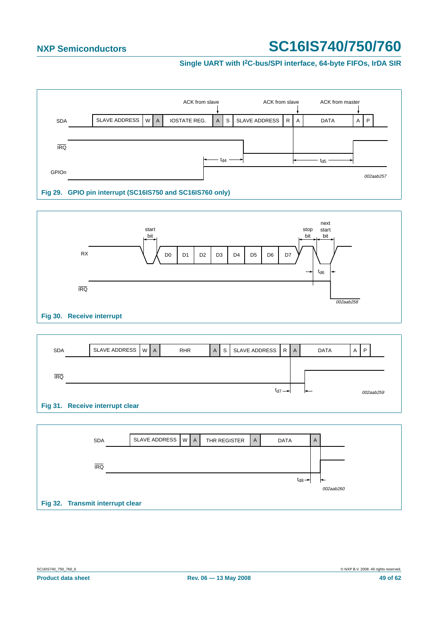#### **Single UART with I2C-bus/SPI interface, 64-byte FIFOs, IrDA SIR**







| <b>SDA</b>                       | SLAVE ADDRESS   W   A |  | THR REGISTER | A | <b>DATA</b>            | A |           |
|----------------------------------|-----------------------|--|--------------|---|------------------------|---|-----------|
|                                  |                       |  |              |   |                        |   |           |
| <b>IRQ</b>                       |                       |  |              |   |                        |   |           |
|                                  |                       |  |              |   | $t_{d8}$ $\rightarrow$ |   | 002aab260 |
| Fig 32. Transmit interrupt clear |                       |  |              |   |                        |   |           |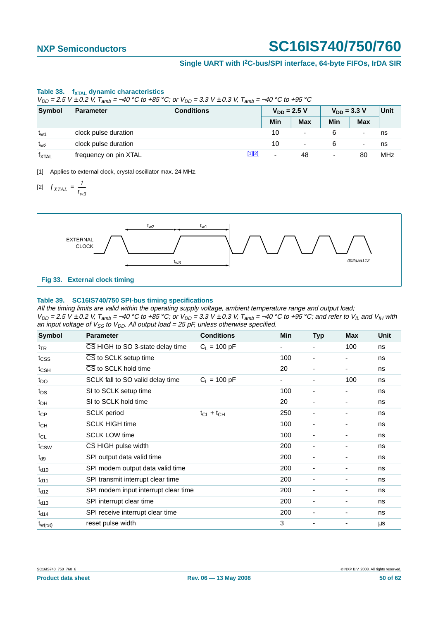#### **Single UART with I2C-bus/SPI interface, 64-byte FIFOs, IrDA SIR**

#### Table 38. f<sub>XTAL</sub> dynamic characteristics

 $V_{DD} = 2.5$  V ± 0.2 V,  $T_{amb} = -40$  °C to +85 °C; or  $V_{DD} = 3.3$  V ± 0.3 V,  $T_{amb} = -40$  °C to +95 °C

| <b>Symbol</b>   | <b>Parameter</b>      | <b>Conditions</b> |        |     | $V_{DD} = 2.5 V$ | $V_{DD} = 3.3 V$ | Unit       |            |
|-----------------|-----------------------|-------------------|--------|-----|------------------|------------------|------------|------------|
|                 |                       |                   |        | Min | <b>Max</b>       | Min              | <b>Max</b> |            |
| t <sub>w1</sub> | clock pulse duration  |                   |        | 10  |                  |                  | -          | ns         |
| $t_{w2}$        | clock pulse duration  |                   |        | 10  | ٠                |                  | ۰          | ns         |
| <b>TXTAL</b>    | frequency on pin XTAL |                   | [1][2] | -   | 48               | ٠                | 80         | <b>MHz</b> |

<span id="page-49-1"></span><span id="page-49-0"></span>[1] Applies to external clock, crystal oscillator max. 24 MHz.

$$
[2] \quad f_{XTAL} = \frac{1}{t_{w3}}
$$



#### <span id="page-49-2"></span>**Table 39. SC16IS740/750 SPI-bus timing specifications**

All the timing limits are valid within the operating supply voltage, ambient temperature range and output load;  $V_{DD}$  = 2.5 V ± 0.2 V, T<sub>amb</sub> = –40 °C to +85 °C; or V<sub>DD</sub> = 3.3 V ± 0.3 V, T<sub>amb</sub> = –40 °C to +95 °C; and refer to V<sub>IL</sub> and V<sub>IH</sub> with an input voltage of  $V_{SS}$  to  $V_{DD}$ . All output load = 25 pF, unless otherwise specified.

| Symbol           | <b>Parameter</b>                     | <b>Conditions</b> | <b>Min</b> | <b>Typ</b>               | <b>Max</b>               | <b>Unit</b> |
|------------------|--------------------------------------|-------------------|------------|--------------------------|--------------------------|-------------|
| $t_{TR}$         | CS HIGH to SO 3-state delay time     | $C_1 = 100 pF$    | ۰          |                          | 100                      | ns          |
| t <sub>CSS</sub> | CS to SCLK setup time                |                   | 100        |                          | -                        | ns          |
| $t_{\text{CSH}}$ | CS to SCLK hold time                 |                   | 20         |                          | $\overline{\phantom{a}}$ | ns          |
| $t_{DO}$         | SCLK fall to SO valid delay time     | $C_1 = 100 pF$    | ۰          | ٠                        | 100                      | ns          |
| $t_{DS}$         | SI to SCLK setup time                |                   | 100        | ٠                        | $\overline{\phantom{a}}$ | ns          |
| $t_{DH}$         | SI to SCLK hold time                 |                   | 20         | $\overline{\phantom{0}}$ | -                        | ns          |
| $t_{CP}$         | <b>SCLK</b> period                   | $t_{CL} + t_{CH}$ | 250        | ٠                        | $\overline{\phantom{a}}$ | ns          |
| $t_{CH}$         | <b>SCLK HIGH time</b>                |                   | 100        |                          | $\overline{\phantom{a}}$ | ns          |
| $t_{CL}$         | <b>SCLK LOW time</b>                 |                   | 100        | ٠                        | ٠                        | ns          |
| $t_{\text{CSW}}$ | CS HIGH pulse width                  |                   | 200        |                          | -                        | ns          |
| $t_{d9}$         | SPI output data valid time           |                   | 200        |                          | $\overline{\phantom{a}}$ | ns          |
| $t_{d10}$        | SPI modem output data valid time     |                   | 200        |                          | $\overline{\phantom{a}}$ | ns          |
| $t_{d11}$        | SPI transmit interrupt clear time    |                   | 200        |                          | -                        | ns          |
| $t_{d12}$        | SPI modem input interrupt clear time |                   | 200        |                          | $\overline{\phantom{a}}$ | ns          |
| $t_{d13}$        | SPI interrupt clear time             |                   | 200        | $\overline{\phantom{a}}$ | $\overline{\phantom{a}}$ | ns          |
| $t_{d14}$        | SPI receive interrupt clear time     |                   | 200        |                          | ä,                       | ns          |
| $t_{w(rst)}$     | reset pulse width                    |                   | 3          |                          | ٠                        | $\mu$ s     |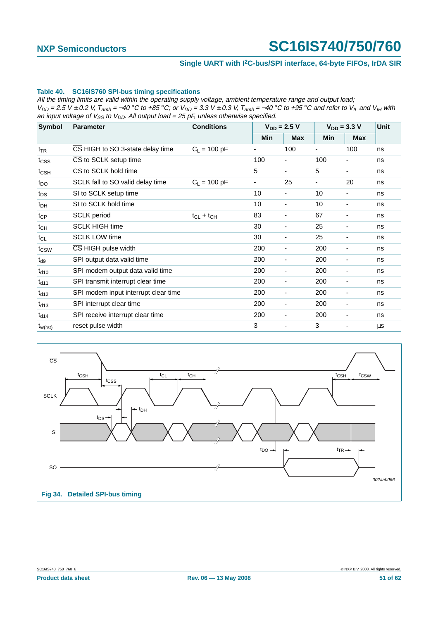#### **Single UART with I2C-bus/SPI interface, 64-byte FIFOs, IrDA SIR**

#### <span id="page-50-1"></span>**Table 40. SC16IS760 SPI-bus timing specifications**

All the timing limits are valid within the operating supply voltage, ambient temperature range and output load;  $V_{DD}$  = 2.5 V ± 0.2 V, T<sub>amb</sub> = –40 °C to +85 °C; or V<sub>DD</sub> = 3.3 V ± 0.3 V, T<sub>amb</sub> = –40 °C to +95 °C and refer to V<sub>IL</sub> and V<sub>IH</sub> with an input voltage of  $V_{SS}$  to  $V_{DD}$ . All output load = 25 pF, unless otherwise specified.

| Symbol           | <b>Parameter</b>                        | <b>Conditions</b> | $V_{DD} = 2.5 V$ |                          |     | $V_{DD} = 3.3 V$ |    |
|------------------|-----------------------------------------|-------------------|------------------|--------------------------|-----|------------------|----|
|                  |                                         |                   | Min              | <b>Max</b>               | Min | <b>Max</b>       |    |
| $t_{TR}$         | CS HIGH to SO 3-state delay time        | $C_1 = 100 pF$    |                  | 100                      |     | 100              | ns |
| t <sub>CSS</sub> | CS to SCLK setup time                   |                   | 100              | ۰                        | 100 |                  | ns |
| t <sub>CSH</sub> | CS to SCLK hold time                    |                   | 5                | $\overline{\phantom{0}}$ | 5   | ۰                | ns |
| $t_{\text{DO}}$  | SCLK fall to SO valid delay time        | $C_1 = 100 pF$    |                  | 25                       |     | 20               | ns |
| $t_{DS}$         | SI to SCLK setup time                   |                   | 10               |                          | 10  |                  | ns |
| $t_{DH}$         | SI to SCLK hold time                    |                   | 10               | -                        | 10  |                  | ns |
| $t_{CP}$         | <b>SCLK</b> period                      | $t_{CL} + t_{CH}$ | 83               | ٠                        | 67  |                  | ns |
| $t_{CH}$         | <b>SCLK HIGH time</b>                   |                   | 30               | ٠                        | 25  |                  | ns |
| $t_{CL}$         | <b>SCLK LOW time</b>                    |                   | 30               | -                        | 25  |                  | ns |
| t <sub>CSW</sub> | $\overline{\text{CS}}$ HIGH pulse width |                   | 200              | ۰                        | 200 |                  | ns |
| $t_{d9}$         | SPI output data valid time              |                   | 200              | ۰                        | 200 |                  | ns |
| $t_{d10}$        | SPI modem output data valid time        |                   | 200              | -                        | 200 |                  | ns |
| $t_{d11}$        | SPI transmit interrupt clear time       |                   | 200              | ٠                        | 200 |                  | ns |
| $t_{d12}$        | SPI modem input interrupt clear time    |                   | 200              | -                        | 200 |                  | ns |
| $t_{d13}$        | SPI interrupt clear time                |                   | 200              | ٠                        | 200 |                  | ns |
| $t_{d14}$        | SPI receive interrupt clear time        |                   | 200              | ٠                        | 200 | ٠                | ns |
| $t_{w(rst)}$     | reset pulse width                       |                   | 3                | ٠                        | 3   |                  | μs |



<span id="page-50-0"></span>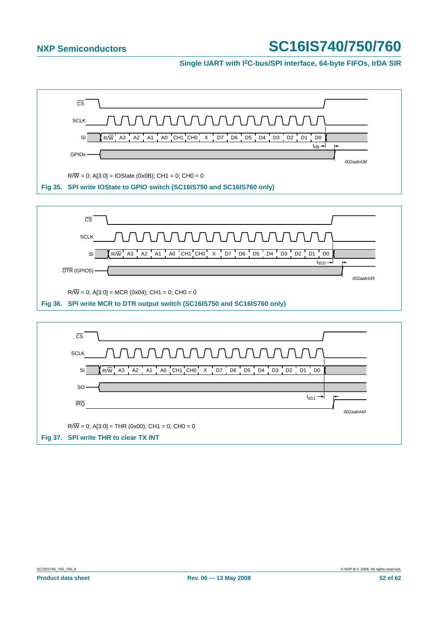#### **Single UART with I2C-bus/SPI interface, 64-byte FIFOs, IrDA SIR**

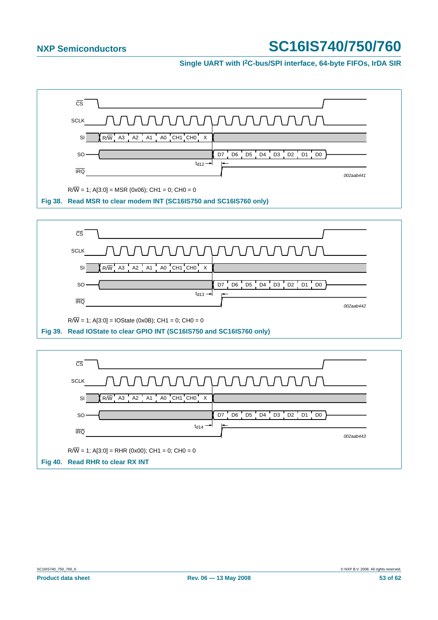**Single UART with I2C-bus/SPI interface, 64-byte FIFOs, IrDA SIR**

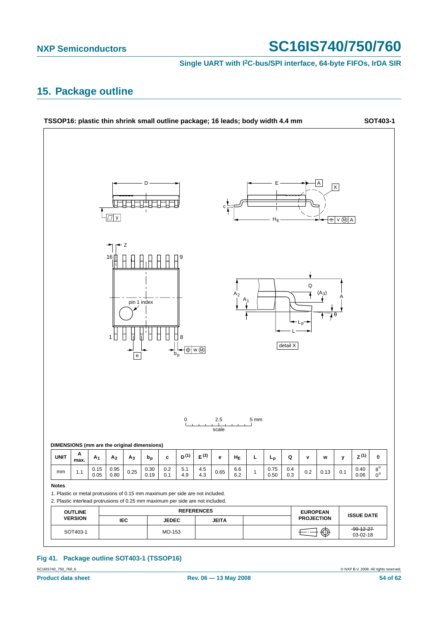**Single UART with I2C-bus/SPI interface, 64-byte FIFOs, IrDA SIR**

## <span id="page-53-0"></span>**15. Package outline**



### **Fig 41. Package outline SOT403-1 (TSSOP16)**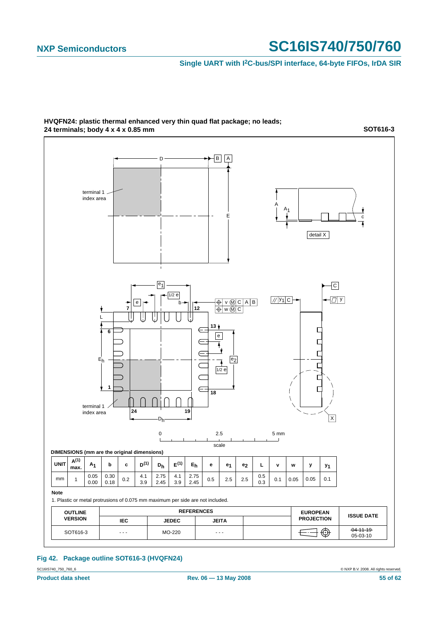#### **Single UART with I2C-bus/SPI interface, 64-byte FIFOs, IrDA SIR**



**HVQFN24: plastic thermal enhanced very thin quad flat package; no leads; 24 terminals; body 4 x 4 x 0.85 mm**

**SOT616-3**

### **Fig 42. Package outline SOT616-3 (HVQFN24)**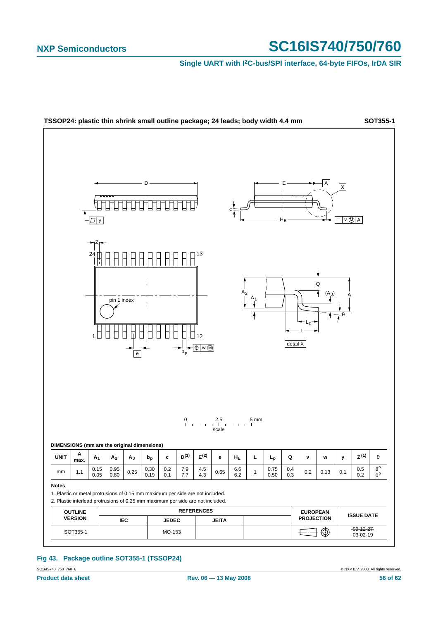**Single UART with I2C-bus/SPI interface, 64-byte FIFOs, IrDA SIR**



### **Fig 43. Package outline SOT355-1 (TSSOP24)**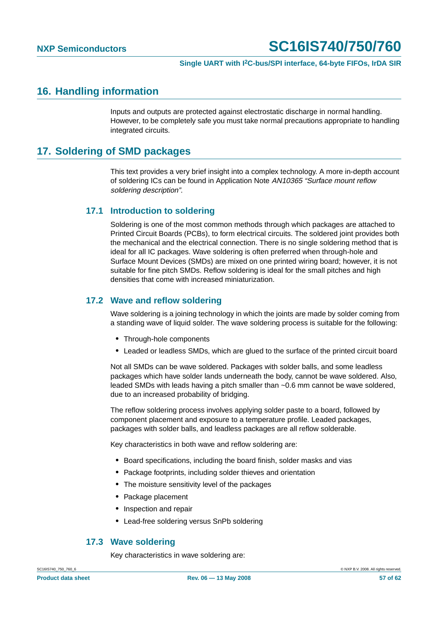## <span id="page-56-0"></span>**16. Handling information**

Inputs and outputs are protected against electrostatic discharge in normal handling. However, to be completely safe you must take normal precautions appropriate to handling integrated circuits.

## <span id="page-56-1"></span>**17. Soldering of SMD packages**

This text provides a very brief insight into a complex technology. A more in-depth account of soldering ICs can be found in Application Note AN10365 "Surface mount reflow soldering description".

### <span id="page-56-2"></span>**17.1 Introduction to soldering**

Soldering is one of the most common methods through which packages are attached to Printed Circuit Boards (PCBs), to form electrical circuits. The soldered joint provides both the mechanical and the electrical connection. There is no single soldering method that is ideal for all IC packages. Wave soldering is often preferred when through-hole and Surface Mount Devices (SMDs) are mixed on one printed wiring board; however, it is not suitable for fine pitch SMDs. Reflow soldering is ideal for the small pitches and high densities that come with increased miniaturization.

#### <span id="page-56-3"></span>**17.2 Wave and reflow soldering**

Wave soldering is a joining technology in which the joints are made by solder coming from a standing wave of liquid solder. The wave soldering process is suitable for the following:

- **•** Through-hole components
- **•** Leaded or leadless SMDs, which are glued to the surface of the printed circuit board

Not all SMDs can be wave soldered. Packages with solder balls, and some leadless packages which have solder lands underneath the body, cannot be wave soldered. Also, leaded SMDs with leads having a pitch smaller than ~0.6 mm cannot be wave soldered, due to an increased probability of bridging.

The reflow soldering process involves applying solder paste to a board, followed by component placement and exposure to a temperature profile. Leaded packages, packages with solder balls, and leadless packages are all reflow solderable.

Key characteristics in both wave and reflow soldering are:

- **•** Board specifications, including the board finish, solder masks and vias
- **•** Package footprints, including solder thieves and orientation
- **•** The moisture sensitivity level of the packages
- **•** Package placement
- **•** Inspection and repair
- **•** Lead-free soldering versus SnPb soldering

#### <span id="page-56-4"></span>**17.3 Wave soldering**

Key characteristics in wave soldering are: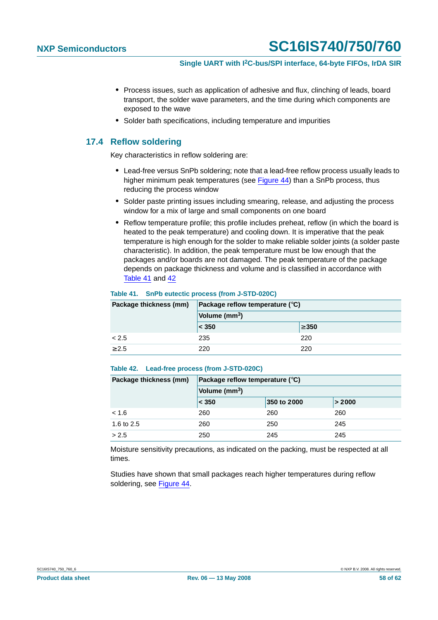- **•** Process issues, such as application of adhesive and flux, clinching of leads, board transport, the solder wave parameters, and the time during which components are exposed to the wave
- **•** Solder bath specifications, including temperature and impurities

#### <span id="page-57-0"></span>**17.4 Reflow soldering**

Key characteristics in reflow soldering are:

- **•** Lead-free versus SnPb soldering; note that a lead-free reflow process usually leads to higher minimum peak temperatures (see Figure 44) than a SnPb process, thus reducing the process window
- **•** Solder paste printing issues including smearing, release, and adjusting the process window for a mix of large and small components on one board
- **•** Reflow temperature profile; this profile includes preheat, reflow (in which the board is heated to the peak temperature) and cooling down. It is imperative that the peak temperature is high enough for the solder to make reliable solder joints (a solder paste characteristic). In addition, the peak temperature must be low enough that the packages and/or boards are not damaged. The peak temperature of the package depends on package thickness and volume and is classified in accordance with Table 41 and 42

#### **Table 41. SnPb eutectic process (from J-STD-020C)**

| Package thickness (mm) | Package reflow temperature $(^\circ \text{C})$ |            |  |
|------------------------|------------------------------------------------|------------|--|
|                        | Volume (mm <sup>3</sup> )                      |            |  |
|                        | < 350                                          | $\geq 350$ |  |
| < 2.5                  | 235                                            | 220        |  |
| $\geq 2.5$             | 220                                            | 220        |  |

#### **Table 42. Lead-free process (from J-STD-020C)**

| Package thickness (mm) | Package reflow temperature $(^\circ \text{C})$ |             |        |  |
|------------------------|------------------------------------------------|-------------|--------|--|
|                        | Volume (mm <sup>3</sup> )                      |             |        |  |
|                        | $\leq 350$                                     | 350 to 2000 | > 2000 |  |
| < 1.6                  | 260                                            | 260         | 260    |  |
| 1.6 to 2.5             | 260                                            | 250         | 245    |  |
| > 2.5                  | 250                                            | 245         | 245    |  |

Moisture sensitivity precautions, as indicated on the packing, must be respected at all times.

Studies have shown that small packages reach higher temperatures during reflow soldering, see Figure 44.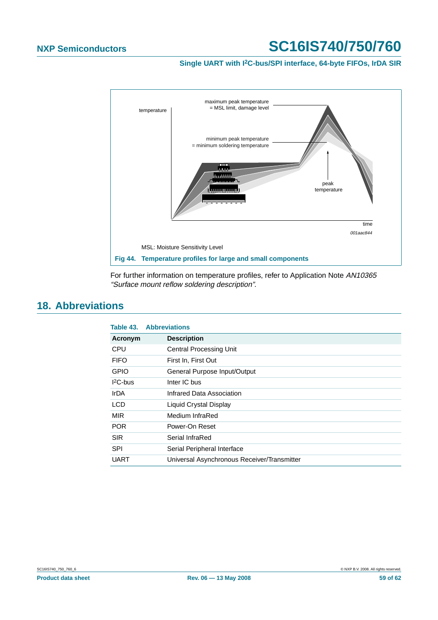**Single UART with I2C-bus/SPI interface, 64-byte FIFOs, IrDA SIR**



For further information on temperature profiles, refer to Application Note AN10365 "Surface mount reflow soldering description".

### <span id="page-58-0"></span>**18. Abbreviations**

|             | <b>Table 43. Abbreviations</b>              |
|-------------|---------------------------------------------|
| Acronym     | <b>Description</b>                          |
| <b>CPU</b>  | <b>Central Processing Unit</b>              |
| <b>FIFO</b> | First In, First Out                         |
| <b>GPIO</b> | General Purpose Input/Output                |
| $12C$ -bus  | Inter IC bus                                |
| IrDA        | Infrared Data Association                   |
| <b>LCD</b>  | Liquid Crystal Display                      |
| <b>MIR</b>  | Medium InfraRed                             |
| <b>POR</b>  | Power-On Reset                              |
| <b>SIR</b>  | Serial InfraRed                             |
| <b>SPI</b>  | Serial Peripheral Interface                 |
| UART        | Universal Asynchronous Receiver/Transmitter |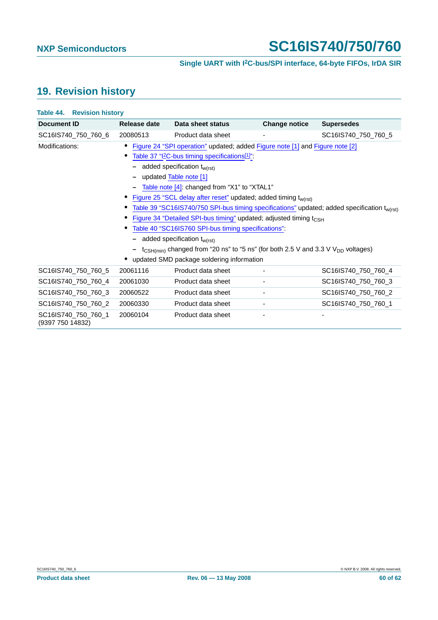# <span id="page-59-0"></span>**19. Revision history**

SC16IS740\_750\_760\_1 (9397 750 14832)

| Document ID         | Release date | Data sheet status                                                                                                                                                                                                                                                                                                                                                                                                                                                                                                                                                                                                                                                                       | <b>Change notice</b> | <b>Supersedes</b>                                                                                       |
|---------------------|--------------|-----------------------------------------------------------------------------------------------------------------------------------------------------------------------------------------------------------------------------------------------------------------------------------------------------------------------------------------------------------------------------------------------------------------------------------------------------------------------------------------------------------------------------------------------------------------------------------------------------------------------------------------------------------------------------------------|----------------------|---------------------------------------------------------------------------------------------------------|
| SC16IS740 750 760 6 | 20080513     | Product data sheet                                                                                                                                                                                                                                                                                                                                                                                                                                                                                                                                                                                                                                                                      |                      | SC16IS740 750 760 5                                                                                     |
| Modifications:      |              | Figure 24 "SPI operation" updated; added Figure note [1] and Figure note [2]<br>Table 37 "I2C-bus timing specifications <sup>[1]"</sup><br>added specification t <sub>w(rst)</sub><br>updated Table note [1]<br>Table note [4]: changed from "X1" to "XTAL1"<br>Figure 25 "SCL delay after reset" updated; added timing t <sub>w(rst)</sub><br>Figure 34 "Detailed SPI-bus timing" updated; adjusted timing t <sub>CSH</sub><br>Table 40 "SC16IS760 SPI-bus timing specifications":<br>added specification t <sub>w(rst)</sub><br>$t_{\text{CSH(min)}}$ changed from "20 ns" to "5 ns" (for both 2.5 V and 3.3 V V <sub>DD</sub> voltages)<br>updated SMD package soldering information |                      | Table 39 "SC16IS740/750 SPI-bus timing specifications" updated; added specification t <sub>w(rst)</sub> |
| SC16IS740_750_760_5 | 20061116     | Product data sheet                                                                                                                                                                                                                                                                                                                                                                                                                                                                                                                                                                                                                                                                      |                      | SC16IS740_750_760_4                                                                                     |
| SC16IS740 750 760 4 | 20061030     | Product data sheet                                                                                                                                                                                                                                                                                                                                                                                                                                                                                                                                                                                                                                                                      |                      | SC16IS740 750 760 3                                                                                     |
| SC16IS740 750 760 3 | 20060522     | Product data sheet                                                                                                                                                                                                                                                                                                                                                                                                                                                                                                                                                                                                                                                                      |                      | SC16IS740 750 760 2                                                                                     |

SC16IS740\_750\_760\_2 20060330 Product data sheet - SC16IS740\_750\_760\_1

20060104 Product data sheet - -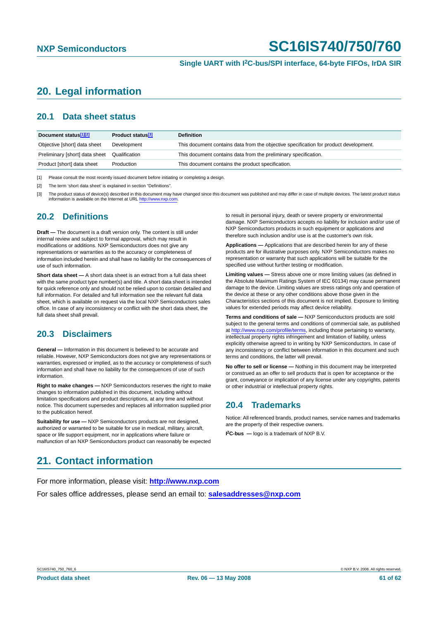# <span id="page-60-0"></span>**20. Legal information**

#### <span id="page-60-1"></span>**20.1 Data sheet status**

| Document status <sup>[1][2]</sup> | Product status <sup>[3]</sup> | <b>Definition</b>                                                                     |
|-----------------------------------|-------------------------------|---------------------------------------------------------------------------------------|
| Objective [short] data sheet      | Development                   | This document contains data from the objective specification for product development. |
| Preliminary [short] data sheet    | Qualification                 | This document contains data from the preliminary specification.                       |
| Product [short] data sheet        | Production                    | This document contains the product specification.                                     |

[1] Please consult the most recently issued document before initiating or completing a design.

[2] The term 'short data sheet' is explained in section "Definitions".

[3] The product status of device(s) described in this document may have changed since this document was published and may differ in case of multiple devices. The latest product status information is available on the Internet at URL <http://www.nxp.com>.

#### <span id="page-60-2"></span>**20.2 Definitions**

**Draft —** The document is a draft version only. The content is still under internal review and subject to formal approval, which may result in modifications or additions. NXP Semiconductors does not give any representations or warranties as to the accuracy or completeness of information included herein and shall have no liability for the consequences of use of such information.

**Short data sheet —** A short data sheet is an extract from a full data sheet with the same product type number(s) and title. A short data sheet is intended for quick reference only and should not be relied upon to contain detailed and full information. For detailed and full information see the relevant full data sheet, which is available on request via the local NXP Semiconductors sales office. In case of any inconsistency or conflict with the short data sheet, the full data sheet shall prevail.

### <span id="page-60-3"></span>**20.3 Disclaimers**

**General —** Information in this document is believed to be accurate and reliable. However, NXP Semiconductors does not give any representations or warranties, expressed or implied, as to the accuracy or completeness of such information and shall have no liability for the consequences of use of such information.

**Right to make changes —** NXP Semiconductors reserves the right to make changes to information published in this document, including without limitation specifications and product descriptions, at any time and without notice. This document supersedes and replaces all information supplied prior to the publication hereof.

**Suitability for use - NXP** Semiconductors products are not designed, authorized or warranted to be suitable for use in medical, military, aircraft, space or life support equipment, nor in applications where failure or malfunction of an NXP Semiconductors product can reasonably be expected to result in personal injury, death or severe property or environmental damage. NXP Semiconductors accepts no liability for inclusion and/or use of NXP Semiconductors products in such equipment or applications and therefore such inclusion and/or use is at the customer's own risk.

**Applications —** Applications that are described herein for any of these products are for illustrative purposes only. NXP Semiconductors makes no representation or warranty that such applications will be suitable for the specified use without further testing or modification.

**Limiting values —** Stress above one or more limiting values (as defined in the Absolute Maximum Ratings System of IEC 60134) may cause permanent damage to the device. Limiting values are stress ratings only and operation of the device at these or any other conditions above those given in the Characteristics sections of this document is not implied. Exposure to limiting values for extended periods may affect device reliability.

**Terms and conditions of sale —** NXP Semiconductors products are sold subject to the general terms and conditions of commercial sale, as published at <http://www.nxp.com/profile/terms>, including those pertaining to warranty, intellectual property rights infringement and limitation of liability, unless explicitly otherwise agreed to in writing by NXP Semiconductors. In case of any inconsistency or conflict between information in this document and such terms and conditions, the latter will prevail.

**No offer to sell or license —** Nothing in this document may be interpreted or construed as an offer to sell products that is open for acceptance or the grant, conveyance or implication of any license under any copyrights, patents or other industrial or intellectual property rights.

#### <span id="page-60-4"></span>**20.4 Trademarks**

Notice: All referenced brands, product names, service names and trademarks are the property of their respective owners.

**I 2C-bus —** logo is a trademark of NXP B.V.

### <span id="page-60-5"></span>**21. Contact information**

For more information, please visit: **http://www.nxp.com**

For sales office addresses, please send an email to: **salesaddresses@nxp.com**